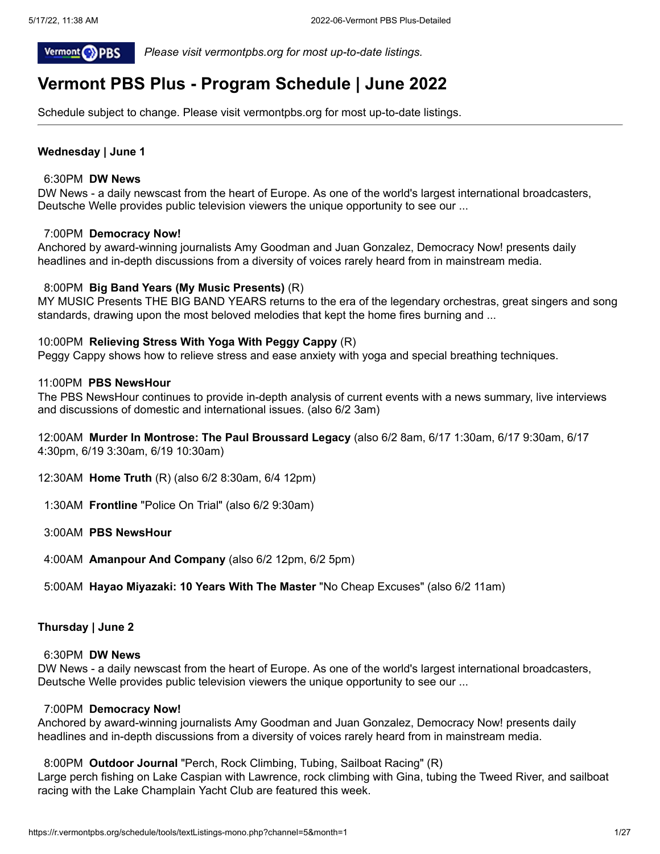

 *Please visit vermontpbs.org for most up-to-date listings.*

# **Vermont PBS Plus - Program Schedule | June 2022**

Schedule subject to change. Please visit vermontpbs.org for most up-to-date listings.

# **Wednesday | June 1**

#### 6:30PM **DW News**

DW News - a daily newscast from the heart of Europe. As one of the world's largest international broadcasters, Deutsche Welle provides public television viewers the unique opportunity to see our ...

### 7:00PM **Democracy Now!**

Anchored by award-winning journalists Amy Goodman and Juan Gonzalez, Democracy Now! presents daily headlines and in-depth discussions from a diversity of voices rarely heard from in mainstream media.

### 8:00PM **Big Band Years (My Music Presents)** (R)

MY MUSIC Presents THE BIG BAND YEARS returns to the era of the legendary orchestras, great singers and song standards, drawing upon the most beloved melodies that kept the home fires burning and ...

### 10:00PM **Relieving Stress With Yoga With Peggy Cappy** (R)

Peggy Cappy shows how to relieve stress and ease anxiety with yoga and special breathing techniques.

#### 11:00PM **PBS NewsHour**

The PBS NewsHour continues to provide in-depth analysis of current events with a news summary, live interviews and discussions of domestic and international issues. (also 6/2 3am)

12:00AM **Murder In Montrose: The Paul Broussard Legacy** (also 6/2 8am, 6/17 1:30am, 6/17 9:30am, 6/17 4:30pm, 6/19 3:30am, 6/19 10:30am)

- 12:30AM **Home Truth** (R) (also 6/2 8:30am, 6/4 12pm)
- 1:30AM **Frontline** "Police On Trial" (also 6/2 9:30am)
- 3:00AM **PBS NewsHour**
- 4:00AM **Amanpour And Company** (also 6/2 12pm, 6/2 5pm)
- 5:00AM **Hayao Miyazaki: 10 Years With The Master** "No Cheap Excuses" (also 6/2 11am)

### **Thursday | June 2**

#### 6:30PM **DW News**

DW News - a daily newscast from the heart of Europe. As one of the world's largest international broadcasters, Deutsche Welle provides public television viewers the unique opportunity to see our ...

#### 7:00PM **Democracy Now!**

Anchored by award-winning journalists Amy Goodman and Juan Gonzalez, Democracy Now! presents daily headlines and in-depth discussions from a diversity of voices rarely heard from in mainstream media.

#### 8:00PM **Outdoor Journal** "Perch, Rock Climbing, Tubing, Sailboat Racing" (R)

Large perch fishing on Lake Caspian with Lawrence, rock climbing with Gina, tubing the Tweed River, and sailboat racing with the Lake Champlain Yacht Club are featured this week.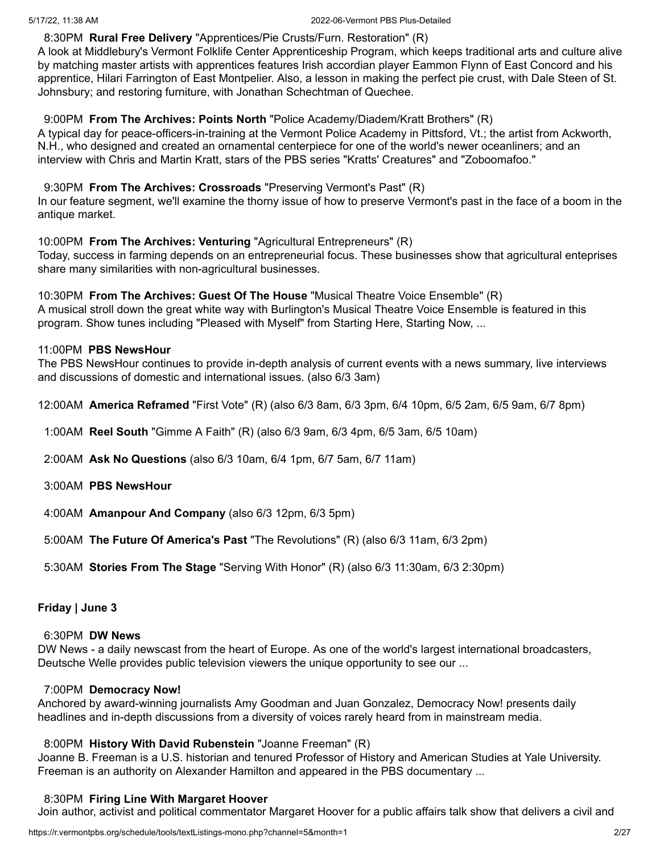# 8:30PM **Rural Free Delivery** "Apprentices/Pie Crusts/Furn. Restoration" (R)

A look at Middlebury's Vermont Folklife Center Apprenticeship Program, which keeps traditional arts and culture alive by matching master artists with apprentices features Irish accordian player Eammon Flynn of East Concord and his apprentice, Hilari Farrington of East Montpelier. Also, a lesson in making the perfect pie crust, with Dale Steen of St. Johnsbury; and restoring furniture, with Jonathan Schechtman of Quechee.

# 9:00PM **From The Archives: Points North** "Police Academy/Diadem/Kratt Brothers" (R)

A typical day for peace-officers-in-training at the Vermont Police Academy in Pittsford, Vt.; the artist from Ackworth, N.H., who designed and created an ornamental centerpiece for one of the world's newer oceanliners; and an interview with Chris and Martin Kratt, stars of the PBS series "Kratts' Creatures" and "Zoboomafoo."

# 9:30PM **From The Archives: Crossroads** "Preserving Vermont's Past" (R)

In our feature segment, we'll examine the thorny issue of how to preserve Vermont's past in the face of a boom in the antique market.

# 10:00PM **From The Archives: Venturing** "Agricultural Entrepreneurs" (R)

Today, success in farming depends on an entrepreneurial focus. These businesses show that agricultural enteprises share many similarities with non-agricultural businesses.

# 10:30PM **From The Archives: Guest Of The House** "Musical Theatre Voice Ensemble" (R)

A musical stroll down the great white way with Burlington's Musical Theatre Voice Ensemble is featured in this program. Show tunes including "Pleased with Myself" from Starting Here, Starting Now, ...

# 11:00PM **PBS NewsHour**

The PBS NewsHour continues to provide in-depth analysis of current events with a news summary, live interviews and discussions of domestic and international issues. (also 6/3 3am)

- 12:00AM **America Reframed** "First Vote" (R) (also 6/3 8am, 6/3 3pm, 6/4 10pm, 6/5 2am, 6/5 9am, 6/7 8pm)
- 1:00AM **Reel South** "Gimme A Faith" (R) (also 6/3 9am, 6/3 4pm, 6/5 3am, 6/5 10am)
- 2:00AM **Ask No Questions** (also 6/3 10am, 6/4 1pm, 6/7 5am, 6/7 11am)
- 3:00AM **PBS NewsHour**
- 4:00AM **Amanpour And Company** (also 6/3 12pm, 6/3 5pm)
- 5:00AM **The Future Of America's Past** "The Revolutions" (R) (also 6/3 11am, 6/3 2pm)
- 5:30AM **Stories From The Stage** "Serving With Honor" (R) (also 6/3 11:30am, 6/3 2:30pm)

# **Friday | June 3**

## 6:30PM **DW News**

DW News - a daily newscast from the heart of Europe. As one of the world's largest international broadcasters, Deutsche Welle provides public television viewers the unique opportunity to see our ...

### 7:00PM **Democracy Now!**

Anchored by award-winning journalists Amy Goodman and Juan Gonzalez, Democracy Now! presents daily headlines and in-depth discussions from a diversity of voices rarely heard from in mainstream media.

# 8:00PM **History With David Rubenstein** "Joanne Freeman" (R)

Joanne B. Freeman is a U.S. historian and tenured Professor of History and American Studies at Yale University. Freeman is an authority on Alexander Hamilton and appeared in the PBS documentary ...

### 8:30PM **Firing Line With Margaret Hoover**

Join author, activist and political commentator Margaret Hoover for a public affairs talk show that delivers a civil and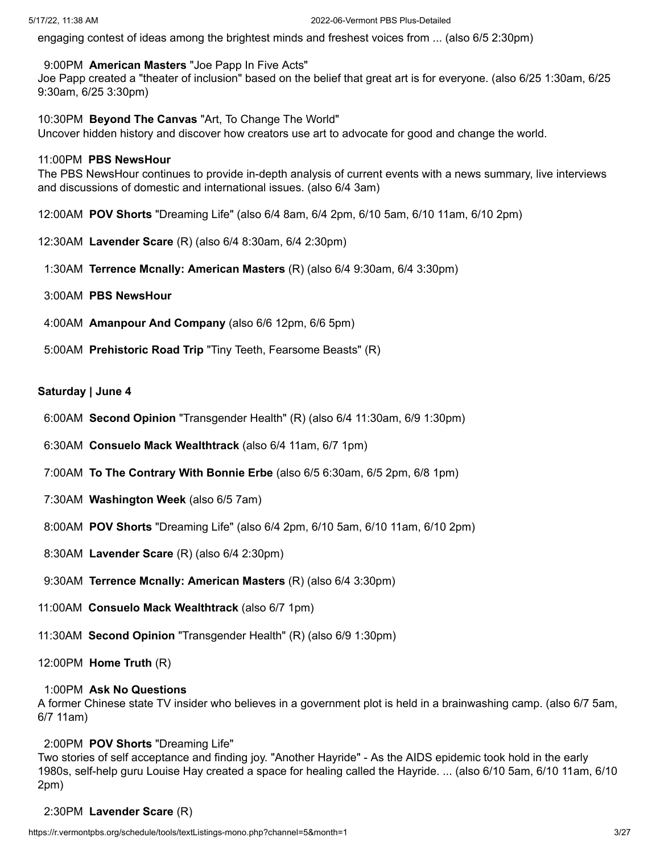engaging contest of ideas among the brightest minds and freshest voices from ... (also 6/5 2:30pm)

# 9:00PM **American Masters** "Joe Papp In Five Acts"

Joe Papp created a "theater of inclusion" based on the belief that great art is for everyone. (also 6/25 1:30am, 6/25 9:30am, 6/25 3:30pm)

10:30PM **Beyond The Canvas** "Art, To Change The World"

Uncover hidden history and discover how creators use art to advocate for good and change the world.

# 11:00PM **PBS NewsHour**

The PBS NewsHour continues to provide in-depth analysis of current events with a news summary, live interviews and discussions of domestic and international issues. (also 6/4 3am)

- 12:00AM **POV Shorts** "Dreaming Life" (also 6/4 8am, 6/4 2pm, 6/10 5am, 6/10 11am, 6/10 2pm)
- 12:30AM **Lavender Scare** (R) (also 6/4 8:30am, 6/4 2:30pm)
- 1:30AM **Terrence Mcnally: American Masters** (R) (also 6/4 9:30am, 6/4 3:30pm)
- 3:00AM **PBS NewsHour**
- 4:00AM **Amanpour And Company** (also 6/6 12pm, 6/6 5pm)
- 5:00AM **Prehistoric Road Trip** "Tiny Teeth, Fearsome Beasts" (R)

# **Saturday | June 4**

- 6:00AM **Second Opinion** "Transgender Health" (R) (also 6/4 11:30am, 6/9 1:30pm)
- 6:30AM **Consuelo Mack Wealthtrack** (also 6/4 11am, 6/7 1pm)
- 7:00AM **To The Contrary With Bonnie Erbe** (also 6/5 6:30am, 6/5 2pm, 6/8 1pm)
- 7:30AM **Washington Week** (also 6/5 7am)
- 8:00AM **POV Shorts** "Dreaming Life" (also 6/4 2pm, 6/10 5am, 6/10 11am, 6/10 2pm)
- 8:30AM **Lavender Scare** (R) (also 6/4 2:30pm)
- 9:30AM **Terrence Mcnally: American Masters** (R) (also 6/4 3:30pm)
- 11:00AM **Consuelo Mack Wealthtrack** (also 6/7 1pm)
- 11:30AM **Second Opinion** "Transgender Health" (R) (also 6/9 1:30pm)
- 12:00PM **Home Truth** (R)

# 1:00PM **Ask No Questions**

A former Chinese state TV insider who believes in a government plot is held in a brainwashing camp. (also 6/7 5am, 6/7 11am)

# 2:00PM **POV Shorts** "Dreaming Life"

Two stories of self acceptance and finding joy. "Another Hayride" - As the AIDS epidemic took hold in the early 1980s, self-help guru Louise Hay created a space for healing called the Hayride. ... (also 6/10 5am, 6/10 11am, 6/10 2pm)

# 2:30PM **Lavender Scare** (R)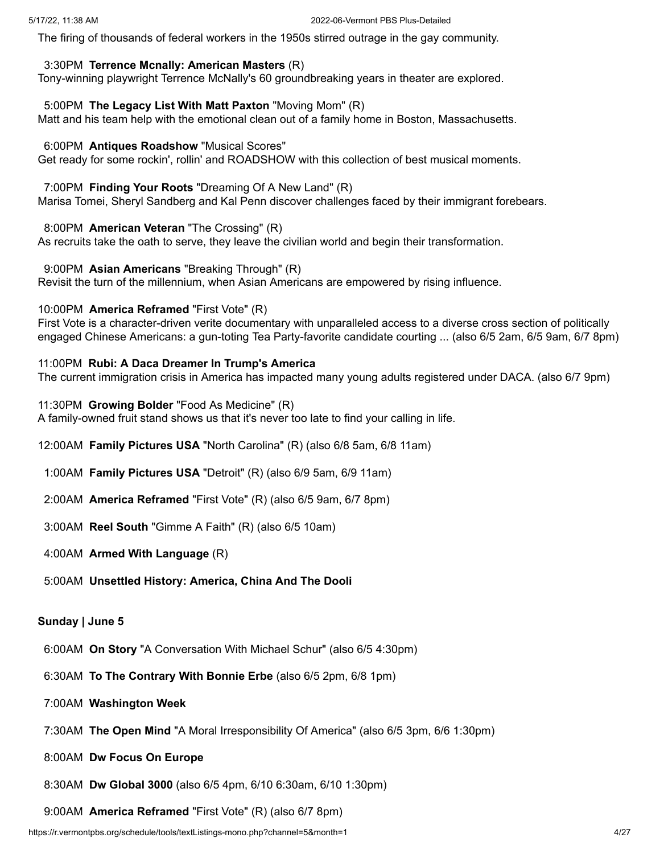The firing of thousands of federal workers in the 1950s stirred outrage in the gay community.

# 3:30PM **Terrence Mcnally: American Masters** (R)

Tony-winning playwright Terrence McNally's 60 groundbreaking years in theater are explored.

# 5:00PM **The Legacy List With Matt Paxton** "Moving Mom" (R)

Matt and his team help with the emotional clean out of a family home in Boston, Massachusetts.

# 6:00PM **Antiques Roadshow** "Musical Scores"

Get ready for some rockin', rollin' and ROADSHOW with this collection of best musical moments.

# 7:00PM **Finding Your Roots** "Dreaming Of A New Land" (R)

Marisa Tomei, Sheryl Sandberg and Kal Penn discover challenges faced by their immigrant forebears.

# 8:00PM **American Veteran** "The Crossing" (R)

As recruits take the oath to serve, they leave the civilian world and begin their transformation.

9:00PM **Asian Americans** "Breaking Through" (R)

Revisit the turn of the millennium, when Asian Americans are empowered by rising influence.

# 10:00PM **America Reframed** "First Vote" (R)

First Vote is a character-driven verite documentary with unparalleled access to a diverse cross section of politically engaged Chinese Americans: a gun-toting Tea Party-favorite candidate courting ... (also 6/5 2am, 6/5 9am, 6/7 8pm)

# 11:00PM **Rubi: A Daca Dreamer In Trump's America**

The current immigration crisis in America has impacted many young adults registered under DACA. (also 6/7 9pm)

11:30PM **Growing Bolder** "Food As Medicine" (R) A family-owned fruit stand shows us that it's never too late to find your calling in life.

- 12:00AM **Family Pictures USA** "North Carolina" (R) (also 6/8 5am, 6/8 11am)
- 1:00AM **Family Pictures USA** "Detroit" (R) (also 6/9 5am, 6/9 11am)
- 2:00AM **America Reframed** "First Vote" (R) (also 6/5 9am, 6/7 8pm)
- 3:00AM **Reel South** "Gimme A Faith" (R) (also 6/5 10am)
- 4:00AM **Armed With Language** (R)
- 5:00AM **Unsettled History: America, China And The Dooli**

# **Sunday | June 5**

- 6:00AM **On Story** "A Conversation With Michael Schur" (also 6/5 4:30pm)
- 6:30AM **To The Contrary With Bonnie Erbe** (also 6/5 2pm, 6/8 1pm)
- 7:00AM **Washington Week**
- 7:30AM **The Open Mind** "A Moral Irresponsibility Of America" (also 6/5 3pm, 6/6 1:30pm)
- 8:00AM **Dw Focus On Europe**
- 8:30AM **Dw Global 3000** (also 6/5 4pm, 6/10 6:30am, 6/10 1:30pm)

9:00AM **America Reframed** "First Vote" (R) (also 6/7 8pm)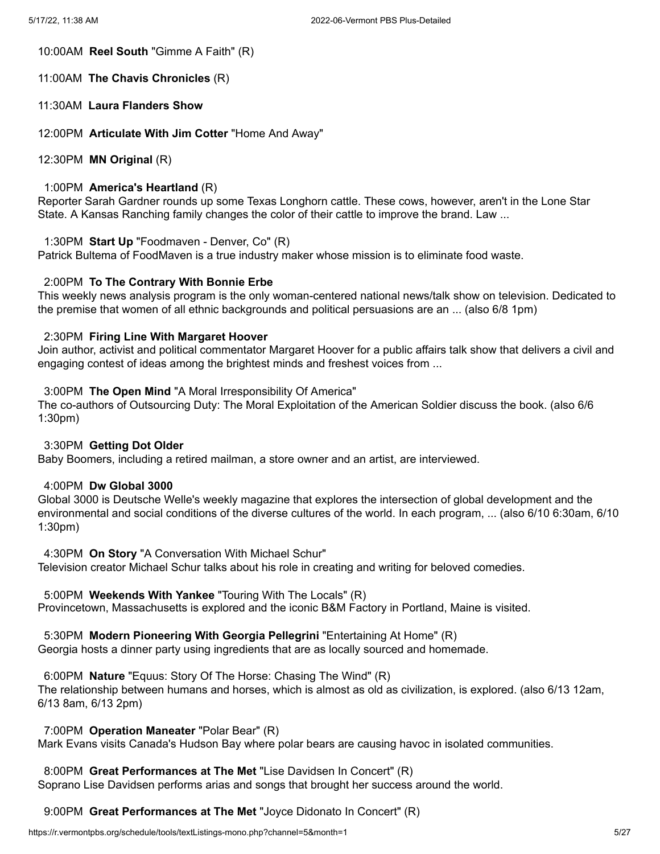10:00AM **Reel South** "Gimme A Faith" (R)

11:00AM **The Chavis Chronicles** (R)

11:30AM **Laura Flanders Show**

12:00PM **Articulate With Jim Cotter** "Home And Away"

12:30PM **MN Original** (R)

#### 1:00PM **America's Heartland** (R)

Reporter Sarah Gardner rounds up some Texas Longhorn cattle. These cows, however, aren't in the Lone Star State. A Kansas Ranching family changes the color of their cattle to improve the brand. Law ...

#### 1:30PM **Start Up** "Foodmaven - Denver, Co" (R)

Patrick Bultema of FoodMaven is a true industry maker whose mission is to eliminate food waste.

### 2:00PM **To The Contrary With Bonnie Erbe**

This weekly news analysis program is the only woman-centered national news/talk show on television. Dedicated to the premise that women of all ethnic backgrounds and political persuasions are an ... (also 6/8 1pm)

# 2:30PM **Firing Line With Margaret Hoover**

Join author, activist and political commentator Margaret Hoover for a public affairs talk show that delivers a civil and engaging contest of ideas among the brightest minds and freshest voices from ...

#### 3:00PM **The Open Mind** "A Moral Irresponsibility Of America"

The co-authors of Outsourcing Duty: The Moral Exploitation of the American Soldier discuss the book. (also 6/6 1:30pm)

#### 3:30PM **Getting Dot Older**

Baby Boomers, including a retired mailman, a store owner and an artist, are interviewed.

### 4:00PM **Dw Global 3000**

Global 3000 is Deutsche Welle's weekly magazine that explores the intersection of global development and the environmental and social conditions of the diverse cultures of the world. In each program, ... (also 6/10 6:30am, 6/10 1:30pm)

4:30PM **On Story** "A Conversation With Michael Schur"

Television creator Michael Schur talks about his role in creating and writing for beloved comedies.

### 5:00PM **Weekends With Yankee** "Touring With The Locals" (R)

Provincetown, Massachusetts is explored and the iconic B&M Factory in Portland, Maine is visited.

#### 5:30PM **Modern Pioneering With Georgia Pellegrini** "Entertaining At Home" (R)

Georgia hosts a dinner party using ingredients that are as locally sourced and homemade.

### 6:00PM **Nature** "Equus: Story Of The Horse: Chasing The Wind" (R)

The relationship between humans and horses, which is almost as old as civilization, is explored. (also 6/13 12am, 6/13 8am, 6/13 2pm)

7:00PM **Operation Maneater** "Polar Bear" (R)

Mark Evans visits Canada's Hudson Bay where polar bears are causing havoc in isolated communities.

# 8:00PM **Great Performances at The Met** "Lise Davidsen In Concert" (R)

Soprano Lise Davidsen performs arias and songs that brought her success around the world.

9:00PM **Great Performances at The Met** "Joyce Didonato In Concert" (R)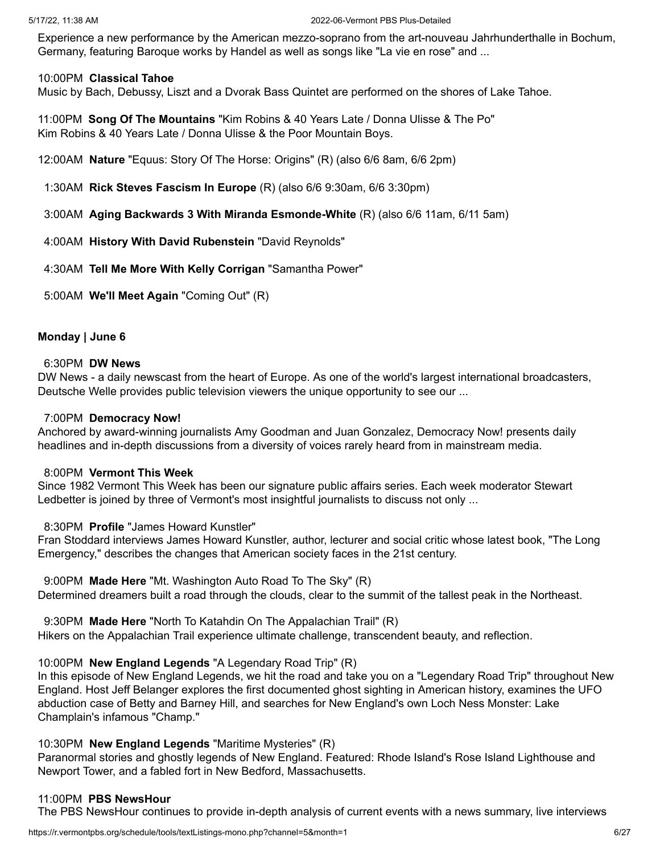Experience a new performance by the American mezzo-soprano from the art-nouveau Jahrhunderthalle in Bochum, Germany, featuring Baroque works by Handel as well as songs like "La vie en rose" and ...

# 10:00PM **Classical Tahoe**

Music by Bach, Debussy, Liszt and a Dvorak Bass Quintet are performed on the shores of Lake Tahoe.

11:00PM **Song Of The Mountains** "Kim Robins & 40 Years Late / Donna Ulisse & The Po" Kim Robins & 40 Years Late / Donna Ulisse & the Poor Mountain Boys.

12:00AM **Nature** "Equus: Story Of The Horse: Origins" (R) (also 6/6 8am, 6/6 2pm)

1:30AM **Rick Steves Fascism In Europe** (R) (also 6/6 9:30am, 6/6 3:30pm)

3:00AM **Aging Backwards 3 With Miranda Esmonde-White** (R) (also 6/6 11am, 6/11 5am)

4:00AM **History With David Rubenstein** "David Reynolds"

4:30AM **Tell Me More With Kelly Corrigan** "Samantha Power"

5:00AM **We'll Meet Again** "Coming Out" (R)

# **Monday | June 6**

### 6:30PM **DW News**

DW News - a daily newscast from the heart of Europe. As one of the world's largest international broadcasters, Deutsche Welle provides public television viewers the unique opportunity to see our ...

# 7:00PM **Democracy Now!**

Anchored by award-winning journalists Amy Goodman and Juan Gonzalez, Democracy Now! presents daily headlines and in-depth discussions from a diversity of voices rarely heard from in mainstream media.

### 8:00PM **Vermont This Week**

Since 1982 Vermont This Week has been our signature public affairs series. Each week moderator Stewart Ledbetter is joined by three of Vermont's most insightful journalists to discuss not only ...

# 8:30PM **Profile** "James Howard Kunstler"

Fran Stoddard interviews James Howard Kunstler, author, lecturer and social critic whose latest book, "The Long Emergency," describes the changes that American society faces in the 21st century.

9:00PM **Made Here** "Mt. Washington Auto Road To The Sky" (R)

Determined dreamers built a road through the clouds, clear to the summit of the tallest peak in the Northeast.

9:30PM **Made Here** "North To Katahdin On The Appalachian Trail" (R) Hikers on the Appalachian Trail experience ultimate challenge, transcendent beauty, and reflection.

# 10:00PM **New England Legends** "A Legendary Road Trip" (R)

In this episode of New England Legends, we hit the road and take you on a "Legendary Road Trip" throughout New England. Host Jeff Belanger explores the first documented ghost sighting in American history, examines the UFO abduction case of Betty and Barney Hill, and searches for New England's own Loch Ness Monster: Lake Champlain's infamous "Champ."

### 10:30PM **New England Legends** "Maritime Mysteries" (R)

Paranormal stories and ghostly legends of New England. Featured: Rhode Island's Rose Island Lighthouse and Newport Tower, and a fabled fort in New Bedford, Massachusetts.

### 11:00PM **PBS NewsHour**

The PBS NewsHour continues to provide in-depth analysis of current events with a news summary, live interviews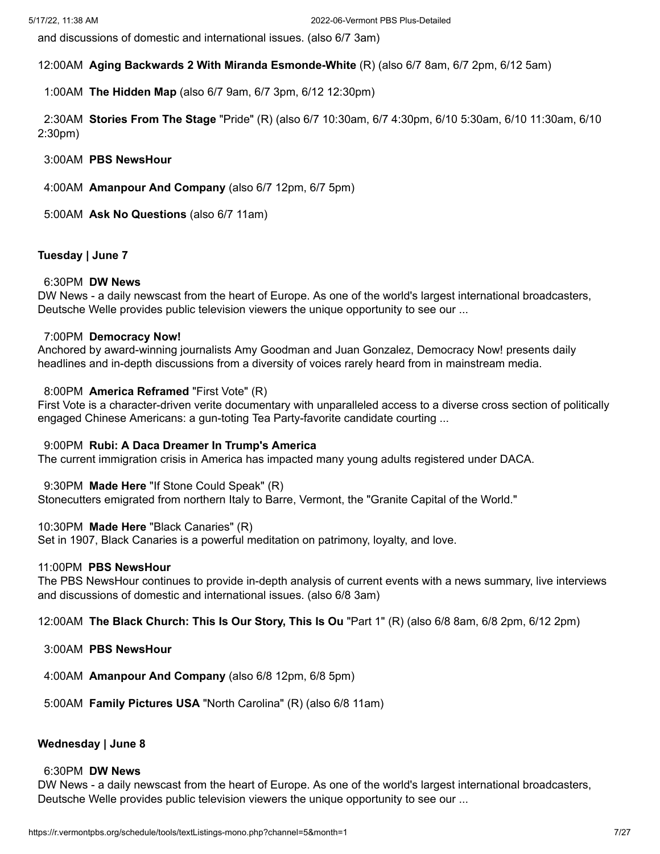and discussions of domestic and international issues. (also 6/7 3am)

# 12:00AM **Aging Backwards 2 With Miranda Esmonde-White** (R) (also 6/7 8am, 6/7 2pm, 6/12 5am)

1:00AM **The Hidden Map** (also 6/7 9am, 6/7 3pm, 6/12 12:30pm)

2:30AM **Stories From The Stage** "Pride" (R) (also 6/7 10:30am, 6/7 4:30pm, 6/10 5:30am, 6/10 11:30am, 6/10 2:30pm)

3:00AM **PBS NewsHour**

4:00AM **Amanpour And Company** (also 6/7 12pm, 6/7 5pm)

5:00AM **Ask No Questions** (also 6/7 11am)

# **Tuesday | June 7**

# 6:30PM **DW News**

DW News - a daily newscast from the heart of Europe. As one of the world's largest international broadcasters, Deutsche Welle provides public television viewers the unique opportunity to see our ...

# 7:00PM **Democracy Now!**

Anchored by award-winning journalists Amy Goodman and Juan Gonzalez, Democracy Now! presents daily headlines and in-depth discussions from a diversity of voices rarely heard from in mainstream media.

# 8:00PM **America Reframed** "First Vote" (R)

First Vote is a character-driven verite documentary with unparalleled access to a diverse cross section of politically engaged Chinese Americans: a gun-toting Tea Party-favorite candidate courting ...

### 9:00PM **Rubi: A Daca Dreamer In Trump's America**

The current immigration crisis in America has impacted many young adults registered under DACA.

9:30PM **Made Here** "If Stone Could Speak" (R)

Stonecutters emigrated from northern Italy to Barre, Vermont, the "Granite Capital of the World."

# 10:30PM **Made Here** "Black Canaries" (R)

Set in 1907, Black Canaries is a powerful meditation on patrimony, loyalty, and love.

### 11:00PM **PBS NewsHour**

The PBS NewsHour continues to provide in-depth analysis of current events with a news summary, live interviews and discussions of domestic and international issues. (also 6/8 3am)

12:00AM **The Black Church: This Is Our Story, This Is Ou** "Part 1" (R) (also 6/8 8am, 6/8 2pm, 6/12 2pm)

- 3:00AM **PBS NewsHour**
- 4:00AM **Amanpour And Company** (also 6/8 12pm, 6/8 5pm)
- 5:00AM **Family Pictures USA** "North Carolina" (R) (also 6/8 11am)

# **Wednesday | June 8**

# 6:30PM **DW News**

DW News - a daily newscast from the heart of Europe. As one of the world's largest international broadcasters, Deutsche Welle provides public television viewers the unique opportunity to see our ...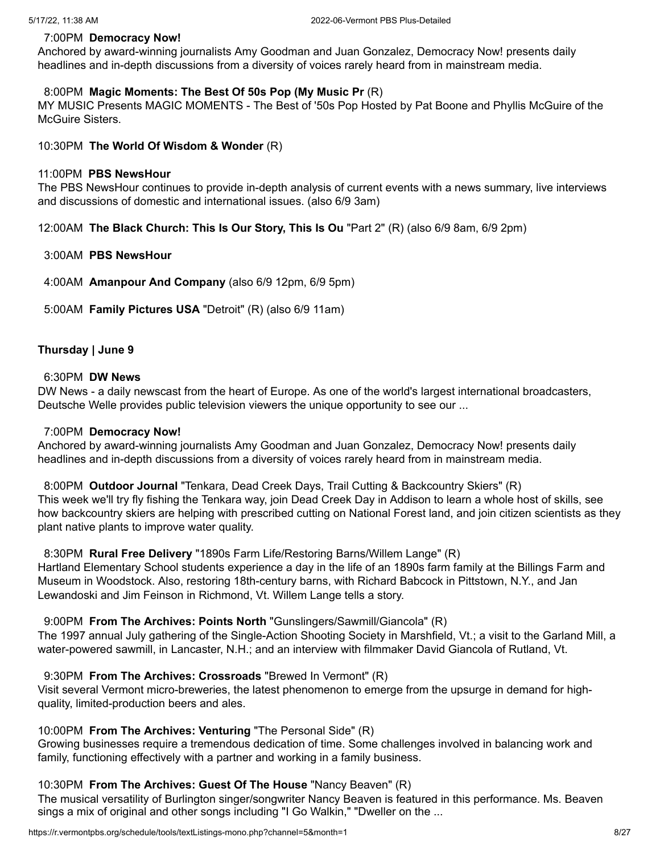# 7:00PM **Democracy Now!**

Anchored by award-winning journalists Amy Goodman and Juan Gonzalez, Democracy Now! presents daily headlines and in-depth discussions from a diversity of voices rarely heard from in mainstream media.

# 8:00PM **Magic Moments: The Best Of 50s Pop (My Music Pr** (R)

MY MUSIC Presents MAGIC MOMENTS - The Best of '50s Pop Hosted by Pat Boone and Phyllis McGuire of the McGuire Sisters.

10:30PM **The World Of Wisdom & Wonder** (R)

# 11:00PM **PBS NewsHour**

The PBS NewsHour continues to provide in-depth analysis of current events with a news summary, live interviews and discussions of domestic and international issues. (also 6/9 3am)

12:00AM **The Black Church: This Is Our Story, This Is Ou** "Part 2" (R) (also 6/9 8am, 6/9 2pm)

# 3:00AM **PBS NewsHour**

4:00AM **Amanpour And Company** (also 6/9 12pm, 6/9 5pm)

5:00AM **Family Pictures USA** "Detroit" (R) (also 6/9 11am)

# **Thursday | June 9**

# 6:30PM **DW News**

DW News - a daily newscast from the heart of Europe. As one of the world's largest international broadcasters, Deutsche Welle provides public television viewers the unique opportunity to see our ...

# 7:00PM **Democracy Now!**

Anchored by award-winning journalists Amy Goodman and Juan Gonzalez, Democracy Now! presents daily headlines and in-depth discussions from a diversity of voices rarely heard from in mainstream media.

8:00PM **Outdoor Journal** "Tenkara, Dead Creek Days, Trail Cutting & Backcountry Skiers" (R) This week we'll try fly fishing the Tenkara way, join Dead Creek Day in Addison to learn a whole host of skills, see how backcountry skiers are helping with prescribed cutting on National Forest land, and join citizen scientists as they plant native plants to improve water quality.

# 8:30PM **Rural Free Delivery** "1890s Farm Life/Restoring Barns/Willem Lange" (R)

Hartland Elementary School students experience a day in the life of an 1890s farm family at the Billings Farm and Museum in Woodstock. Also, restoring 18th-century barns, with Richard Babcock in Pittstown, N.Y., and Jan Lewandoski and Jim Feinson in Richmond, Vt. Willem Lange tells a story.

# 9:00PM **From The Archives: Points North** "Gunslingers/Sawmill/Giancola" (R)

The 1997 annual July gathering of the Single-Action Shooting Society in Marshfield, Vt.; a visit to the Garland Mill, a water-powered sawmill, in Lancaster, N.H.; and an interview with filmmaker David Giancola of Rutland, Vt.

# 9:30PM **From The Archives: Crossroads** "Brewed In Vermont" (R)

Visit several Vermont micro-breweries, the latest phenomenon to emerge from the upsurge in demand for highquality, limited-production beers and ales.

# 10:00PM **From The Archives: Venturing** "The Personal Side" (R)

Growing businesses require a tremendous dedication of time. Some challenges involved in balancing work and family, functioning effectively with a partner and working in a family business.

# 10:30PM **From The Archives: Guest Of The House** "Nancy Beaven" (R)

The musical versatility of Burlington singer/songwriter Nancy Beaven is featured in this performance. Ms. Beaven sings a mix of original and other songs including "I Go Walkin," "Dweller on the ...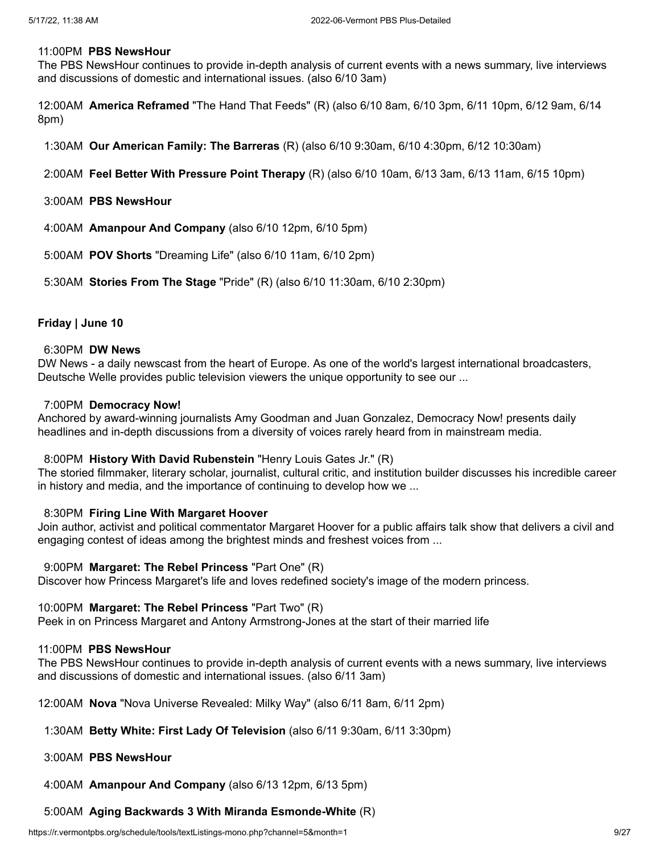#### 11:00PM **PBS NewsHour**

The PBS NewsHour continues to provide in-depth analysis of current events with a news summary, live interviews and discussions of domestic and international issues. (also 6/10 3am)

12:00AM **America Reframed** "The Hand That Feeds" (R) (also 6/10 8am, 6/10 3pm, 6/11 10pm, 6/12 9am, 6/14 8pm)

- 1:30AM **Our American Family: The Barreras** (R) (also 6/10 9:30am, 6/10 4:30pm, 6/12 10:30am)
- 2:00AM **Feel Better With Pressure Point Therapy** (R) (also 6/10 10am, 6/13 3am, 6/13 11am, 6/15 10pm)
- 3:00AM **PBS NewsHour**
- 4:00AM **Amanpour And Company** (also 6/10 12pm, 6/10 5pm)
- 5:00AM **POV Shorts** "Dreaming Life" (also 6/10 11am, 6/10 2pm)
- 5:30AM **Stories From The Stage** "Pride" (R) (also 6/10 11:30am, 6/10 2:30pm)

## **Friday | June 10**

#### 6:30PM **DW News**

DW News - a daily newscast from the heart of Europe. As one of the world's largest international broadcasters, Deutsche Welle provides public television viewers the unique opportunity to see our ...

#### 7:00PM **Democracy Now!**

Anchored by award-winning journalists Amy Goodman and Juan Gonzalez, Democracy Now! presents daily headlines and in-depth discussions from a diversity of voices rarely heard from in mainstream media.

#### 8:00PM **History With David Rubenstein** "Henry Louis Gates Jr." (R)

The storied filmmaker, literary scholar, journalist, cultural critic, and institution builder discusses his incredible career in history and media, and the importance of continuing to develop how we ...

#### 8:30PM **Firing Line With Margaret Hoover**

Join author, activist and political commentator Margaret Hoover for a public affairs talk show that delivers a civil and engaging contest of ideas among the brightest minds and freshest voices from ...

#### 9:00PM **Margaret: The Rebel Princess** "Part One" (R)

Discover how Princess Margaret's life and loves redefined society's image of the modern princess.

#### 10:00PM **Margaret: The Rebel Princess** "Part Two" (R)

Peek in on Princess Margaret and Antony Armstrong-Jones at the start of their married life

#### 11:00PM **PBS NewsHour**

The PBS NewsHour continues to provide in-depth analysis of current events with a news summary, live interviews and discussions of domestic and international issues. (also 6/11 3am)

12:00AM **Nova** "Nova Universe Revealed: Milky Way" (also 6/11 8am, 6/11 2pm)

#### 1:30AM **Betty White: First Lady Of Television** (also 6/11 9:30am, 6/11 3:30pm)

#### 3:00AM **PBS NewsHour**

4:00AM **Amanpour And Company** (also 6/13 12pm, 6/13 5pm)

# 5:00AM **Aging Backwards 3 With Miranda Esmonde-White** (R)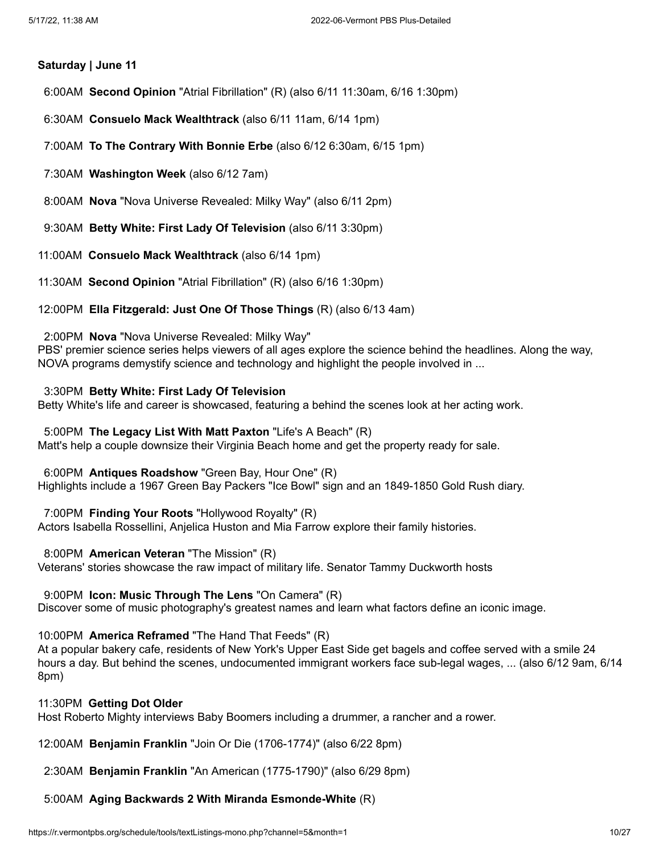# **Saturday | June 11**

6:00AM **Second Opinion** "Atrial Fibrillation" (R) (also 6/11 11:30am, 6/16 1:30pm)

6:30AM **Consuelo Mack Wealthtrack** (also 6/11 11am, 6/14 1pm)

7:00AM **To The Contrary With Bonnie Erbe** (also 6/12 6:30am, 6/15 1pm)

7:30AM **Washington Week** (also 6/12 7am)

8:00AM **Nova** "Nova Universe Revealed: Milky Way" (also 6/11 2pm)

9:30AM **Betty White: First Lady Of Television** (also 6/11 3:30pm)

11:00AM **Consuelo Mack Wealthtrack** (also 6/14 1pm)

11:30AM **Second Opinion** "Atrial Fibrillation" (R) (also 6/16 1:30pm)

12:00PM **Ella Fitzgerald: Just One Of Those Things** (R) (also 6/13 4am)

2:00PM **Nova** "Nova Universe Revealed: Milky Way"

PBS' premier science series helps viewers of all ages explore the science behind the headlines. Along the way, NOVA programs demystify science and technology and highlight the people involved in ...

### 3:30PM **Betty White: First Lady Of Television**

Betty White's life and career is showcased, featuring a behind the scenes look at her acting work.

## 5:00PM **The Legacy List With Matt Paxton** "Life's A Beach" (R)

Matt's help a couple downsize their Virginia Beach home and get the property ready for sale.

6:00PM **Antiques Roadshow** "Green Bay, Hour One" (R)

Highlights include a 1967 Green Bay Packers "Ice Bowl" sign and an 1849-1850 Gold Rush diary.

7:00PM **Finding Your Roots** "Hollywood Royalty" (R)

Actors Isabella Rossellini, Anjelica Huston and Mia Farrow explore their family histories.

8:00PM **American Veteran** "The Mission" (R)

Veterans' stories showcase the raw impact of military life. Senator Tammy Duckworth hosts

### 9:00PM **Icon: Music Through The Lens** "On Camera" (R)

Discover some of music photography's greatest names and learn what factors define an iconic image.

10:00PM **America Reframed** "The Hand That Feeds" (R)

At a popular bakery cafe, residents of New York's Upper East Side get bagels and coffee served with a smile 24 hours a day. But behind the scenes, undocumented immigrant workers face sub-legal wages, ... (also 6/12 9am, 6/14 8pm)

### 11:30PM **Getting Dot Older**

Host Roberto Mighty interviews Baby Boomers including a drummer, a rancher and a rower.

12:00AM **Benjamin Franklin** "Join Or Die (1706-1774)" (also 6/22 8pm)

2:30AM **Benjamin Franklin** "An American (1775-1790)" (also 6/29 8pm)

5:00AM **Aging Backwards 2 With Miranda Esmonde-White** (R)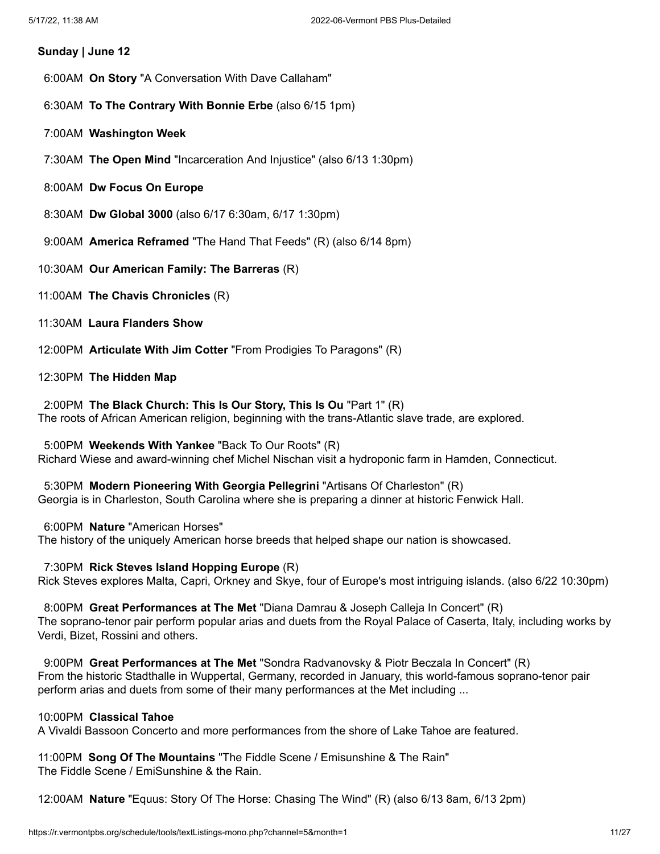#### **Sunday | June 12**

- 6:00AM **On Story** "A Conversation With Dave Callaham"
- 6:30AM **To The Contrary With Bonnie Erbe** (also 6/15 1pm)
- 7:00AM **Washington Week**
- 7:30AM **The Open Mind** "Incarceration And Injustice" (also 6/13 1:30pm)
- 8:00AM **Dw Focus On Europe**
- 8:30AM **Dw Global 3000** (also 6/17 6:30am, 6/17 1:30pm)
- 9:00AM **America Reframed** "The Hand That Feeds" (R) (also 6/14 8pm)
- 10:30AM **Our American Family: The Barreras** (R)
- 11:00AM **The Chavis Chronicles** (R)
- 11:30AM **Laura Flanders Show**
- 12:00PM **Articulate With Jim Cotter** "From Prodigies To Paragons" (R)

#### 12:30PM **The Hidden Map**

2:00PM **The Black Church: This Is Our Story, This Is Ou** "Part 1" (R) The roots of African American religion, beginning with the trans-Atlantic slave trade, are explored.

5:00PM **Weekends With Yankee** "Back To Our Roots" (R) Richard Wiese and award-winning chef Michel Nischan visit a hydroponic farm in Hamden, Connecticut.

5:30PM **Modern Pioneering With Georgia Pellegrini** "Artisans Of Charleston" (R) Georgia is in Charleston, South Carolina where she is preparing a dinner at historic Fenwick Hall.

6:00PM **Nature** "American Horses" The history of the uniquely American horse breeds that helped shape our nation is showcased.

7:30PM **Rick Steves Island Hopping Europe** (R) Rick Steves explores Malta, Capri, Orkney and Skye, four of Europe's most intriguing islands. (also 6/22 10:30pm)

8:00PM **Great Performances at The Met** "Diana Damrau & Joseph Calleja In Concert" (R) The soprano-tenor pair perform popular arias and duets from the Royal Palace of Caserta, Italy, including works by Verdi, Bizet, Rossini and others.

9:00PM **Great Performances at The Met** "Sondra Radvanovsky & Piotr Beczala In Concert" (R) From the historic Stadthalle in Wuppertal, Germany, recorded in January, this world-famous soprano-tenor pair perform arias and duets from some of their many performances at the Met including ...

# 10:00PM **Classical Tahoe**

A Vivaldi Bassoon Concerto and more performances from the shore of Lake Tahoe are featured.

11:00PM **Song Of The Mountains** "The Fiddle Scene / Emisunshine & The Rain" The Fiddle Scene / EmiSunshine & the Rain.

12:00AM **Nature** "Equus: Story Of The Horse: Chasing The Wind" (R) (also 6/13 8am, 6/13 2pm)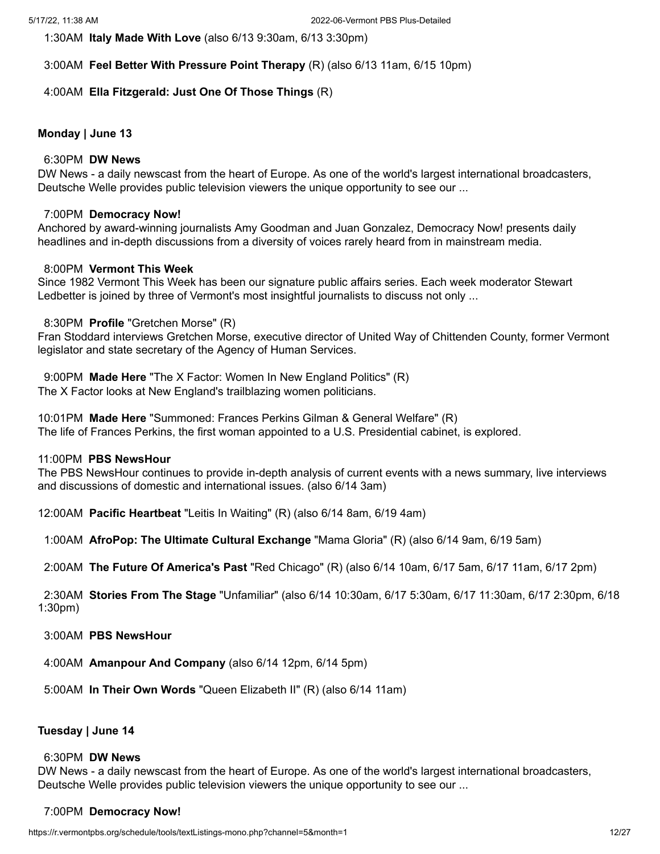1:30AM **Italy Made With Love** (also 6/13 9:30am, 6/13 3:30pm)

3:00AM **Feel Better With Pressure Point Therapy** (R) (also 6/13 11am, 6/15 10pm)

# 4:00AM **Ella Fitzgerald: Just One Of Those Things** (R)

# **Monday | June 13**

## 6:30PM **DW News**

DW News - a daily newscast from the heart of Europe. As one of the world's largest international broadcasters, Deutsche Welle provides public television viewers the unique opportunity to see our ...

# 7:00PM **Democracy Now!**

Anchored by award-winning journalists Amy Goodman and Juan Gonzalez, Democracy Now! presents daily headlines and in-depth discussions from a diversity of voices rarely heard from in mainstream media.

# 8:00PM **Vermont This Week**

Since 1982 Vermont This Week has been our signature public affairs series. Each week moderator Stewart Ledbetter is joined by three of Vermont's most insightful journalists to discuss not only ...

# 8:30PM **Profile** "Gretchen Morse" (R)

Fran Stoddard interviews Gretchen Morse, executive director of United Way of Chittenden County, former Vermont legislator and state secretary of the Agency of Human Services.

9:00PM **Made Here** "The X Factor: Women In New England Politics" (R) The X Factor looks at New England's trailblazing women politicians.

10:01PM **Made Here** "Summoned: Frances Perkins Gilman & General Welfare" (R) The life of Frances Perkins, the first woman appointed to a U.S. Presidential cabinet, is explored.

# 11:00PM **PBS NewsHour**

The PBS NewsHour continues to provide in-depth analysis of current events with a news summary, live interviews and discussions of domestic and international issues. (also 6/14 3am)

12:00AM **Pacific Heartbeat** "Leitis In Waiting" (R) (also 6/14 8am, 6/19 4am)

1:00AM **AfroPop: The Ultimate Cultural Exchange** "Mama Gloria" (R) (also 6/14 9am, 6/19 5am)

2:00AM **The Future Of America's Past** "Red Chicago" (R) (also 6/14 10am, 6/17 5am, 6/17 11am, 6/17 2pm)

2:30AM **Stories From The Stage** "Unfamiliar" (also 6/14 10:30am, 6/17 5:30am, 6/17 11:30am, 6/17 2:30pm, 6/18 1:30pm)

3:00AM **PBS NewsHour**

4:00AM **Amanpour And Company** (also 6/14 12pm, 6/14 5pm)

5:00AM **In Their Own Words** "Queen Elizabeth II" (R) (also 6/14 11am)

### **Tuesday | June 14**

### 6:30PM **DW News**

DW News - a daily newscast from the heart of Europe. As one of the world's largest international broadcasters, Deutsche Welle provides public television viewers the unique opportunity to see our ...

# 7:00PM **Democracy Now!**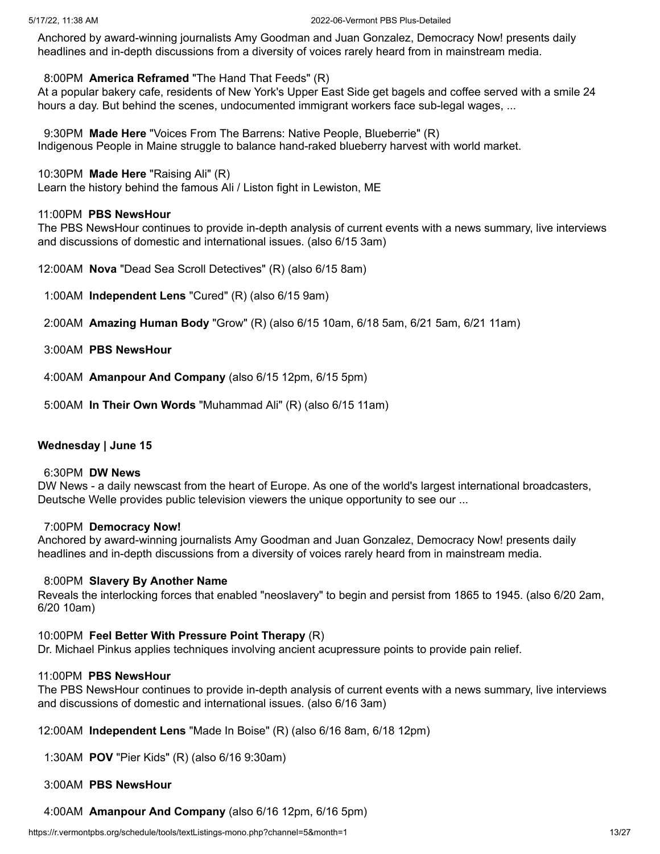Anchored by award-winning journalists Amy Goodman and Juan Gonzalez, Democracy Now! presents daily headlines and in-depth discussions from a diversity of voices rarely heard from in mainstream media.

### 8:00PM **America Reframed** "The Hand That Feeds" (R)

At a popular bakery cafe, residents of New York's Upper East Side get bagels and coffee served with a smile 24 hours a day. But behind the scenes, undocumented immigrant workers face sub-legal wages, ...

9:30PM **Made Here** "Voices From The Barrens: Native People, Blueberrie" (R) Indigenous People in Maine struggle to balance hand-raked blueberry harvest with world market.

#### 10:30PM **Made Here** "Raising Ali" (R)

Learn the history behind the famous Ali / Liston fight in Lewiston, ME

## 11:00PM **PBS NewsHour**

The PBS NewsHour continues to provide in-depth analysis of current events with a news summary, live interviews and discussions of domestic and international issues. (also 6/15 3am)

12:00AM **Nova** "Dead Sea Scroll Detectives" (R) (also 6/15 8am)

1:00AM **Independent Lens** "Cured" (R) (also 6/15 9am)

2:00AM **Amazing Human Body** "Grow" (R) (also 6/15 10am, 6/18 5am, 6/21 5am, 6/21 11am)

- 3:00AM **PBS NewsHour**
- 4:00AM **Amanpour And Company** (also 6/15 12pm, 6/15 5pm)
- 5:00AM **In Their Own Words** "Muhammad Ali" (R) (also 6/15 11am)

### **Wednesday | June 15**

#### 6:30PM **DW News**

DW News - a daily newscast from the heart of Europe. As one of the world's largest international broadcasters, Deutsche Welle provides public television viewers the unique opportunity to see our ...

### 7:00PM **Democracy Now!**

Anchored by award-winning journalists Amy Goodman and Juan Gonzalez, Democracy Now! presents daily headlines and in-depth discussions from a diversity of voices rarely heard from in mainstream media.

#### 8:00PM **Slavery By Another Name**

Reveals the interlocking forces that enabled "neoslavery" to begin and persist from 1865 to 1945. (also 6/20 2am, 6/20 10am)

#### 10:00PM **Feel Better With Pressure Point Therapy** (R)

Dr. Michael Pinkus applies techniques involving ancient acupressure points to provide pain relief.

### 11:00PM **PBS NewsHour**

The PBS NewsHour continues to provide in-depth analysis of current events with a news summary, live interviews and discussions of domestic and international issues. (also 6/16 3am)

12:00AM **Independent Lens** "Made In Boise" (R) (also 6/16 8am, 6/18 12pm)

1:30AM **POV** "Pier Kids" (R) (also 6/16 9:30am)

#### 3:00AM **PBS NewsHour**

4:00AM **Amanpour And Company** (also 6/16 12pm, 6/16 5pm)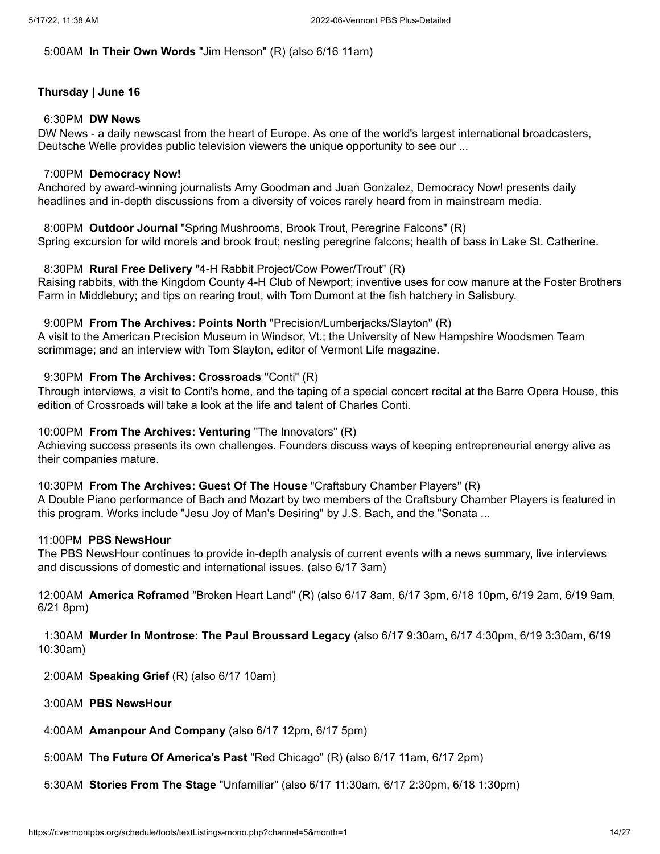# 5:00AM **In Their Own Words** "Jim Henson" (R) (also 6/16 11am)

# **Thursday | June 16**

#### 6:30PM **DW News**

DW News - a daily newscast from the heart of Europe. As one of the world's largest international broadcasters, Deutsche Welle provides public television viewers the unique opportunity to see our ...

#### 7:00PM **Democracy Now!**

Anchored by award-winning journalists Amy Goodman and Juan Gonzalez, Democracy Now! presents daily headlines and in-depth discussions from a diversity of voices rarely heard from in mainstream media.

8:00PM **Outdoor Journal** "Spring Mushrooms, Brook Trout, Peregrine Falcons" (R) Spring excursion for wild morels and brook trout; nesting peregrine falcons; health of bass in Lake St. Catherine.

#### 8:30PM **Rural Free Delivery** "4-H Rabbit Project/Cow Power/Trout" (R)

Raising rabbits, with the Kingdom County 4-H Club of Newport; inventive uses for cow manure at the Foster Brothers Farm in Middlebury; and tips on rearing trout, with Tom Dumont at the fish hatchery in Salisbury.

#### 9:00PM **From The Archives: Points North** "Precision/Lumberjacks/Slayton" (R)

A visit to the American Precision Museum in Windsor, Vt.; the University of New Hampshire Woodsmen Team scrimmage; and an interview with Tom Slayton, editor of Vermont Life magazine.

#### 9:30PM **From The Archives: Crossroads** "Conti" (R)

Through interviews, a visit to Conti's home, and the taping of a special concert recital at the Barre Opera House, this edition of Crossroads will take a look at the life and talent of Charles Conti.

### 10:00PM **From The Archives: Venturing** "The Innovators" (R)

Achieving success presents its own challenges. Founders discuss ways of keeping entrepreneurial energy alive as their companies mature.

### 10:30PM **From The Archives: Guest Of The House** "Craftsbury Chamber Players" (R)

A Double Piano performance of Bach and Mozart by two members of the Craftsbury Chamber Players is featured in this program. Works include "Jesu Joy of Man's Desiring" by J.S. Bach, and the "Sonata ...

### 11:00PM **PBS NewsHour**

The PBS NewsHour continues to provide in-depth analysis of current events with a news summary, live interviews and discussions of domestic and international issues. (also 6/17 3am)

12:00AM **America Reframed** "Broken Heart Land" (R) (also 6/17 8am, 6/17 3pm, 6/18 10pm, 6/19 2am, 6/19 9am, 6/21 8pm)

1:30AM **Murder In Montrose: The Paul Broussard Legacy** (also 6/17 9:30am, 6/17 4:30pm, 6/19 3:30am, 6/19 10:30am)

2:00AM **Speaking Grief** (R) (also 6/17 10am)

- 3:00AM **PBS NewsHour**
- 4:00AM **Amanpour And Company** (also 6/17 12pm, 6/17 5pm)
- 5:00AM **The Future Of America's Past** "Red Chicago" (R) (also 6/17 11am, 6/17 2pm)
- 5:30AM **Stories From The Stage** "Unfamiliar" (also 6/17 11:30am, 6/17 2:30pm, 6/18 1:30pm)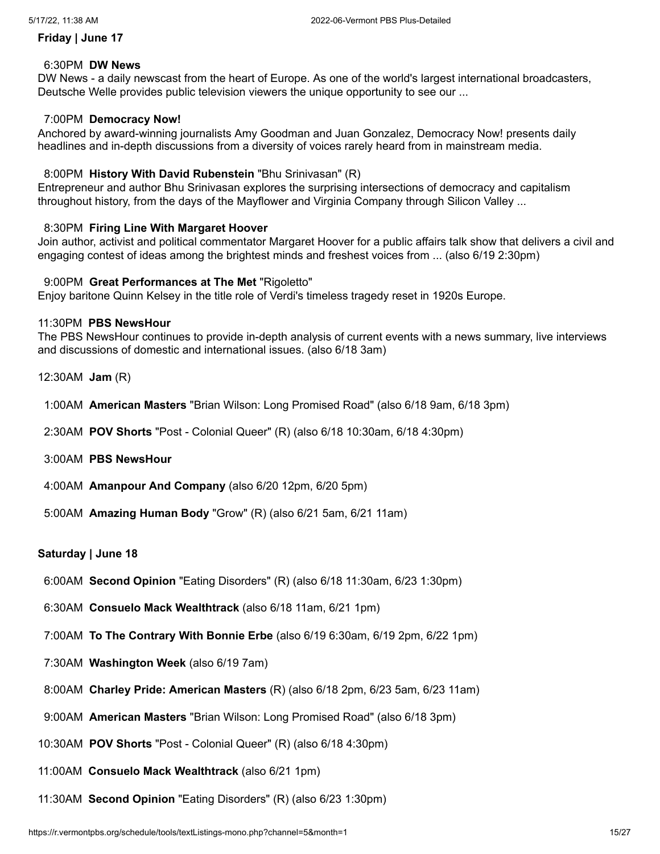### **Friday | June 17**

#### 6:30PM **DW News**

DW News - a daily newscast from the heart of Europe. As one of the world's largest international broadcasters, Deutsche Welle provides public television viewers the unique opportunity to see our ...

### 7:00PM **Democracy Now!**

Anchored by award-winning journalists Amy Goodman and Juan Gonzalez, Democracy Now! presents daily headlines and in-depth discussions from a diversity of voices rarely heard from in mainstream media.

#### 8:00PM **History With David Rubenstein** "Bhu Srinivasan" (R)

Entrepreneur and author Bhu Srinivasan explores the surprising intersections of democracy and capitalism throughout history, from the days of the Mayflower and Virginia Company through Silicon Valley ...

#### 8:30PM **Firing Line With Margaret Hoover**

Join author, activist and political commentator Margaret Hoover for a public affairs talk show that delivers a civil and engaging contest of ideas among the brightest minds and freshest voices from ... (also 6/19 2:30pm)

#### 9:00PM **Great Performances at The Met** "Rigoletto"

Enjoy baritone Quinn Kelsey in the title role of Verdi's timeless tragedy reset in 1920s Europe.

#### 11:30PM **PBS NewsHour**

The PBS NewsHour continues to provide in-depth analysis of current events with a news summary, live interviews and discussions of domestic and international issues. (also 6/18 3am)

- 12:30AM **Jam** (R)
- 1:00AM **American Masters** "Brian Wilson: Long Promised Road" (also 6/18 9am, 6/18 3pm)
- 2:30AM **POV Shorts** "Post Colonial Queer" (R) (also 6/18 10:30am, 6/18 4:30pm)
- 3:00AM **PBS NewsHour**
- 4:00AM **Amanpour And Company** (also 6/20 12pm, 6/20 5pm)
- 5:00AM **Amazing Human Body** "Grow" (R) (also 6/21 5am, 6/21 11am)

### **Saturday | June 18**

- 6:00AM **Second Opinion** "Eating Disorders" (R) (also 6/18 11:30am, 6/23 1:30pm)
- 6:30AM **Consuelo Mack Wealthtrack** (also 6/18 11am, 6/21 1pm)
- 7:00AM **To The Contrary With Bonnie Erbe** (also 6/19 6:30am, 6/19 2pm, 6/22 1pm)
- 7:30AM **Washington Week** (also 6/19 7am)
- 8:00AM **Charley Pride: American Masters** (R) (also 6/18 2pm, 6/23 5am, 6/23 11am)
- 9:00AM **American Masters** "Brian Wilson: Long Promised Road" (also 6/18 3pm)
- 10:30AM **POV Shorts** "Post Colonial Queer" (R) (also 6/18 4:30pm)
- 11:00AM **Consuelo Mack Wealthtrack** (also 6/21 1pm)
- 11:30AM **Second Opinion** "Eating Disorders" (R) (also 6/23 1:30pm)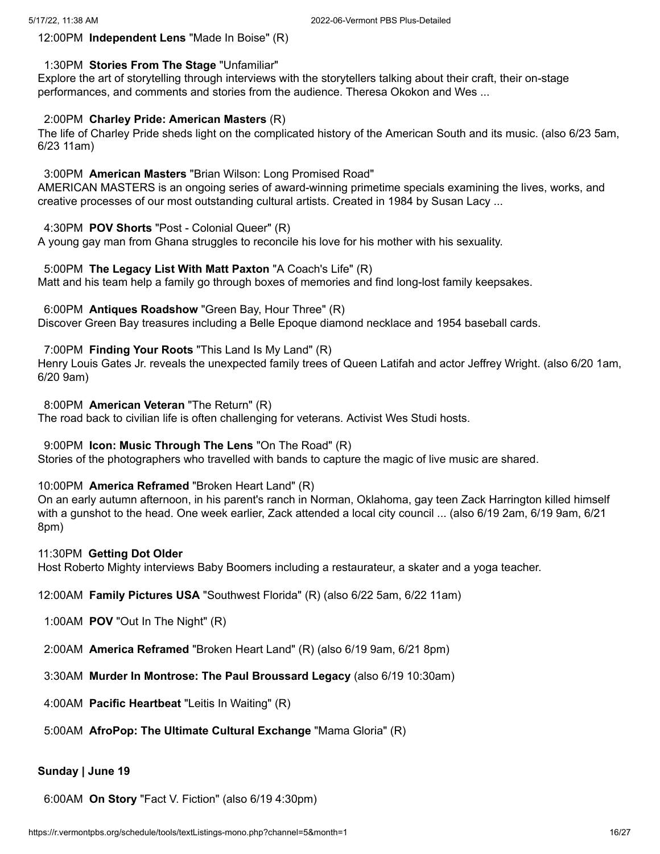# 12:00PM **Independent Lens** "Made In Boise" (R)

# 1:30PM **Stories From The Stage** "Unfamiliar"

Explore the art of storytelling through interviews with the storytellers talking about their craft, their on-stage performances, and comments and stories from the audience. Theresa Okokon and Wes ...

# 2:00PM **Charley Pride: American Masters** (R)

The life of Charley Pride sheds light on the complicated history of the American South and its music. (also 6/23 5am, 6/23 11am)

## 3:00PM **American Masters** "Brian Wilson: Long Promised Road"

AMERICAN MASTERS is an ongoing series of award-winning primetime specials examining the lives, works, and creative processes of our most outstanding cultural artists. Created in 1984 by Susan Lacy ...

# 4:30PM **POV Shorts** "Post - Colonial Queer" (R)

A young gay man from Ghana struggles to reconcile his love for his mother with his sexuality.

# 5:00PM **The Legacy List With Matt Paxton** "A Coach's Life" (R)

Matt and his team help a family go through boxes of memories and find long-lost family keepsakes.

# 6:00PM **Antiques Roadshow** "Green Bay, Hour Three" (R)

Discover Green Bay treasures including a Belle Epoque diamond necklace and 1954 baseball cards.

# 7:00PM **Finding Your Roots** "This Land Is My Land" (R)

Henry Louis Gates Jr. reveals the unexpected family trees of Queen Latifah and actor Jeffrey Wright. (also 6/20 1am, 6/20 9am)

8:00PM **American Veteran** "The Return" (R)

The road back to civilian life is often challenging for veterans. Activist Wes Studi hosts.

### 9:00PM **Icon: Music Through The Lens** "On The Road" (R)

Stories of the photographers who travelled with bands to capture the magic of live music are shared.

### 10:00PM **America Reframed** "Broken Heart Land" (R)

On an early autumn afternoon, in his parent's ranch in Norman, Oklahoma, gay teen Zack Harrington killed himself with a gunshot to the head. One week earlier, Zack attended a local city council ... (also 6/19 2am, 6/19 9am, 6/21 8pm)

### 11:30PM **Getting Dot Older**

Host Roberto Mighty interviews Baby Boomers including a restaurateur, a skater and a yoga teacher.

12:00AM **Family Pictures USA** "Southwest Florida" (R) (also 6/22 5am, 6/22 11am)

- 1:00AM **POV** "Out In The Night" (R)
- 2:00AM **America Reframed** "Broken Heart Land" (R) (also 6/19 9am, 6/21 8pm)
- 3:30AM **Murder In Montrose: The Paul Broussard Legacy** (also 6/19 10:30am)
- 4:00AM **Pacific Heartbeat** "Leitis In Waiting" (R)
- 5:00AM **AfroPop: The Ultimate Cultural Exchange** "Mama Gloria" (R)

### **Sunday | June 19**

6:00AM **On Story** "Fact V. Fiction" (also 6/19 4:30pm)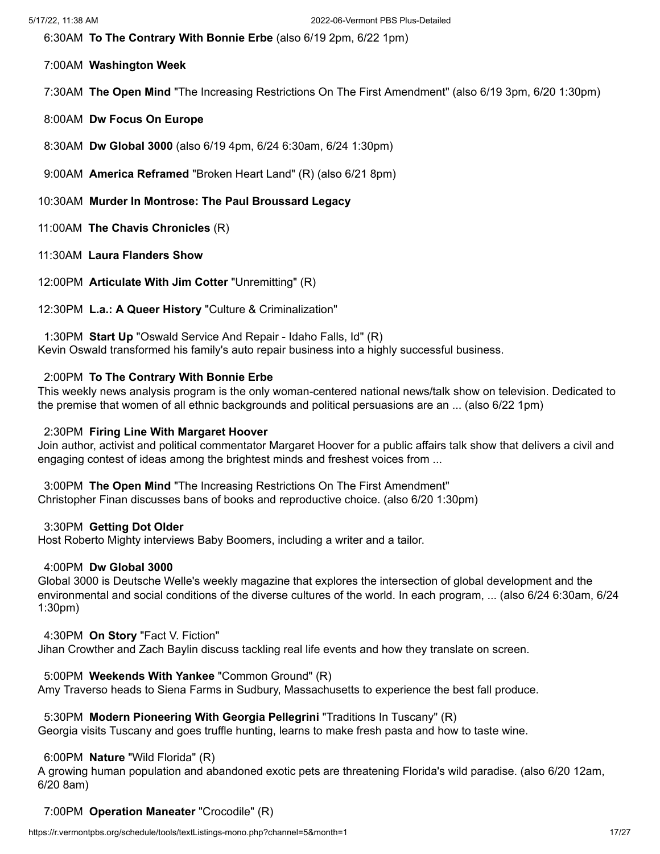6:30AM **To The Contrary With Bonnie Erbe** (also 6/19 2pm, 6/22 1pm)

# 7:00AM **Washington Week**

7:30AM **The Open Mind** "The Increasing Restrictions On The First Amendment" (also 6/19 3pm, 6/20 1:30pm)

8:00AM **Dw Focus On Europe**

8:30AM **Dw Global 3000** (also 6/19 4pm, 6/24 6:30am, 6/24 1:30pm)

- 9:00AM **America Reframed** "Broken Heart Land" (R) (also 6/21 8pm)
- 10:30AM **Murder In Montrose: The Paul Broussard Legacy**
- 11:00AM **The Chavis Chronicles** (R)
- 11:30AM **Laura Flanders Show**

12:00PM **Articulate With Jim Cotter** "Unremitting" (R)

12:30PM **L.a.: A Queer History** "Culture & Criminalization"

1:30PM **Start Up** "Oswald Service And Repair - Idaho Falls, Id" (R) Kevin Oswald transformed his family's auto repair business into a highly successful business.

# 2:00PM **To The Contrary With Bonnie Erbe**

This weekly news analysis program is the only woman-centered national news/talk show on television. Dedicated to the premise that women of all ethnic backgrounds and political persuasions are an ... (also 6/22 1pm)

# 2:30PM **Firing Line With Margaret Hoover**

Join author, activist and political commentator Margaret Hoover for a public affairs talk show that delivers a civil and engaging contest of ideas among the brightest minds and freshest voices from ...

3:00PM **The Open Mind** "The Increasing Restrictions On The First Amendment" Christopher Finan discusses bans of books and reproductive choice. (also 6/20 1:30pm)

### 3:30PM **Getting Dot Older**

Host Roberto Mighty interviews Baby Boomers, including a writer and a tailor.

### 4:00PM **Dw Global 3000**

Global 3000 is Deutsche Welle's weekly magazine that explores the intersection of global development and the environmental and social conditions of the diverse cultures of the world. In each program, ... (also 6/24 6:30am, 6/24 1:30pm)

### 4:30PM **On Story** "Fact V. Fiction"

Jihan Crowther and Zach Baylin discuss tackling real life events and how they translate on screen.

# 5:00PM **Weekends With Yankee** "Common Ground" (R)

Amy Traverso heads to Siena Farms in Sudbury, Massachusetts to experience the best fall produce.

# 5:30PM **Modern Pioneering With Georgia Pellegrini** "Traditions In Tuscany" (R)

Georgia visits Tuscany and goes truffle hunting, learns to make fresh pasta and how to taste wine.

### 6:00PM **Nature** "Wild Florida" (R)

A growing human population and abandoned exotic pets are threatening Florida's wild paradise. (also 6/20 12am, 6/20 8am)

# 7:00PM **Operation Maneater** "Crocodile" (R)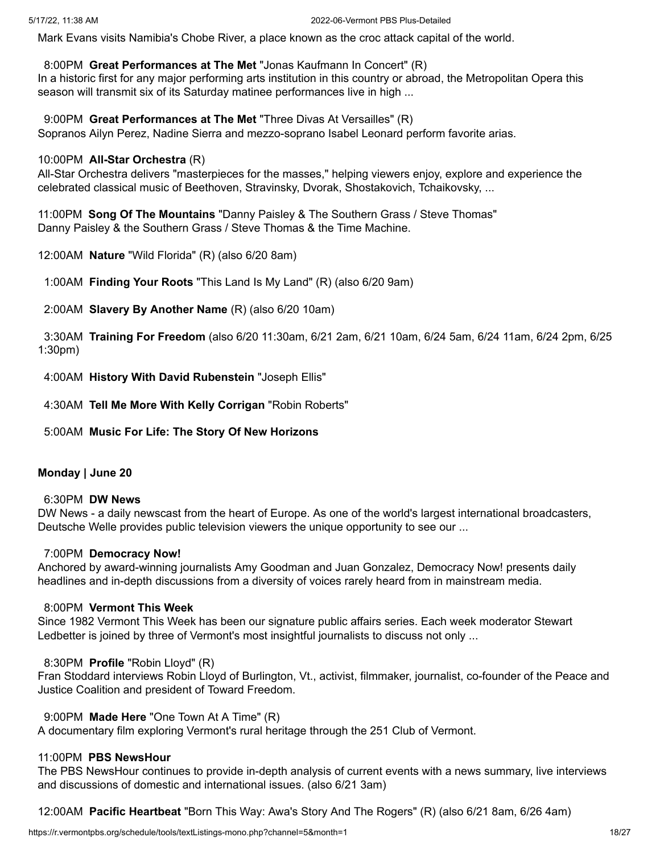Mark Evans visits Namibia's Chobe River, a place known as the croc attack capital of the world.

8:00PM **Great Performances at The Met** "Jonas Kaufmann In Concert" (R)

In a historic first for any major performing arts institution in this country or abroad, the Metropolitan Opera this season will transmit six of its Saturday matinee performances live in high ...

9:00PM **Great Performances at The Met** "Three Divas At Versailles" (R) Sopranos Ailyn Perez, Nadine Sierra and mezzo-soprano Isabel Leonard perform favorite arias.

# 10:00PM **All-Star Orchestra** (R)

All-Star Orchestra delivers "masterpieces for the masses," helping viewers enjoy, explore and experience the celebrated classical music of Beethoven, Stravinsky, Dvorak, Shostakovich, Tchaikovsky, ...

11:00PM **Song Of The Mountains** "Danny Paisley & The Southern Grass / Steve Thomas" Danny Paisley & the Southern Grass / Steve Thomas & the Time Machine.

12:00AM **Nature** "Wild Florida" (R) (also 6/20 8am)

1:00AM **Finding Your Roots** "This Land Is My Land" (R) (also 6/20 9am)

2:00AM **Slavery By Another Name** (R) (also 6/20 10am)

3:30AM **Training For Freedom** (also 6/20 11:30am, 6/21 2am, 6/21 10am, 6/24 5am, 6/24 11am, 6/24 2pm, 6/25 1:30pm)

4:00AM **History With David Rubenstein** "Joseph Ellis"

4:30AM **Tell Me More With Kelly Corrigan** "Robin Roberts"

5:00AM **Music For Life: The Story Of New Horizons**

# **Monday | June 20**

# 6:30PM **DW News**

DW News - a daily newscast from the heart of Europe. As one of the world's largest international broadcasters, Deutsche Welle provides public television viewers the unique opportunity to see our ...

# 7:00PM **Democracy Now!**

Anchored by award-winning journalists Amy Goodman and Juan Gonzalez, Democracy Now! presents daily headlines and in-depth discussions from a diversity of voices rarely heard from in mainstream media.

# 8:00PM **Vermont This Week**

Since 1982 Vermont This Week has been our signature public affairs series. Each week moderator Stewart Ledbetter is joined by three of Vermont's most insightful journalists to discuss not only ...

# 8:30PM **Profile** "Robin Lloyd" (R)

Fran Stoddard interviews Robin Lloyd of Burlington, Vt., activist, filmmaker, journalist, co-founder of the Peace and Justice Coalition and president of Toward Freedom.

# 9:00PM **Made Here** "One Town At A Time" (R)

A documentary film exploring Vermont's rural heritage through the 251 Club of Vermont.

# 11:00PM **PBS NewsHour**

The PBS NewsHour continues to provide in-depth analysis of current events with a news summary, live interviews and discussions of domestic and international issues. (also 6/21 3am)

12:00AM **Pacific Heartbeat** "Born This Way: Awa's Story And The Rogers" (R) (also 6/21 8am, 6/26 4am)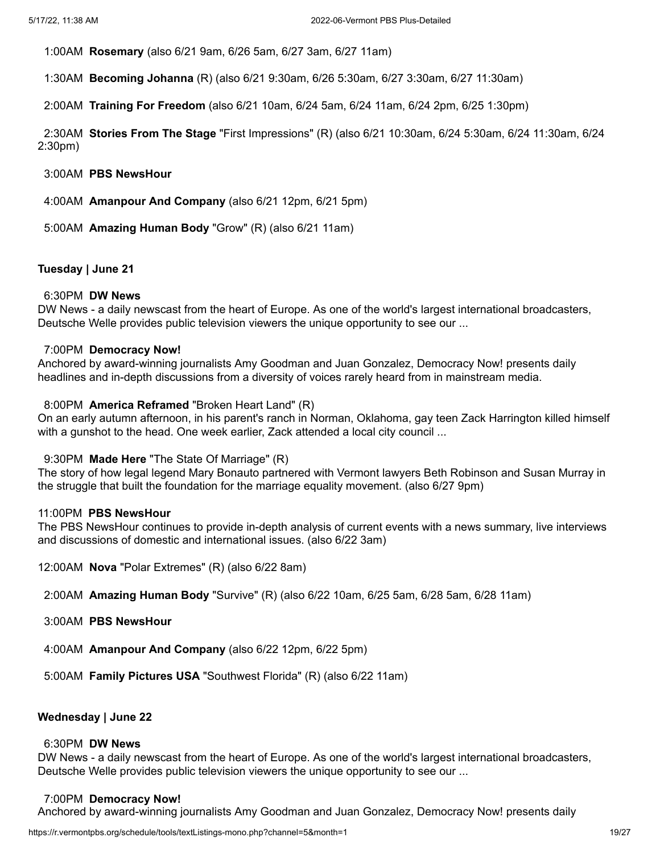1:00AM **Rosemary** (also 6/21 9am, 6/26 5am, 6/27 3am, 6/27 11am)

1:30AM **Becoming Johanna** (R) (also 6/21 9:30am, 6/26 5:30am, 6/27 3:30am, 6/27 11:30am)

2:00AM **Training For Freedom** (also 6/21 10am, 6/24 5am, 6/24 11am, 6/24 2pm, 6/25 1:30pm)

2:30AM **Stories From The Stage** "First Impressions" (R) (also 6/21 10:30am, 6/24 5:30am, 6/24 11:30am, 6/24 2:30pm)

3:00AM **PBS NewsHour**

4:00AM **Amanpour And Company** (also 6/21 12pm, 6/21 5pm)

5:00AM **Amazing Human Body** "Grow" (R) (also 6/21 11am)

### **Tuesday | June 21**

#### 6:30PM **DW News**

DW News - a daily newscast from the heart of Europe. As one of the world's largest international broadcasters, Deutsche Welle provides public television viewers the unique opportunity to see our ...

#### 7:00PM **Democracy Now!**

Anchored by award-winning journalists Amy Goodman and Juan Gonzalez, Democracy Now! presents daily headlines and in-depth discussions from a diversity of voices rarely heard from in mainstream media.

#### 8:00PM **America Reframed** "Broken Heart Land" (R)

On an early autumn afternoon, in his parent's ranch in Norman, Oklahoma, gay teen Zack Harrington killed himself with a gunshot to the head. One week earlier, Zack attended a local city council ...

#### 9:30PM **Made Here** "The State Of Marriage" (R)

The story of how legal legend Mary Bonauto partnered with Vermont lawyers Beth Robinson and Susan Murray in the struggle that built the foundation for the marriage equality movement. (also 6/27 9pm)

#### 11:00PM **PBS NewsHour**

The PBS NewsHour continues to provide in-depth analysis of current events with a news summary, live interviews and discussions of domestic and international issues. (also 6/22 3am)

12:00AM **Nova** "Polar Extremes" (R) (also 6/22 8am)

2:00AM **Amazing Human Body** "Survive" (R) (also 6/22 10am, 6/25 5am, 6/28 5am, 6/28 11am)

- 3:00AM **PBS NewsHour**
- 4:00AM **Amanpour And Company** (also 6/22 12pm, 6/22 5pm)
- 5:00AM **Family Pictures USA** "Southwest Florida" (R) (also 6/22 11am)

## **Wednesday | June 22**

#### 6:30PM **DW News**

DW News - a daily newscast from the heart of Europe. As one of the world's largest international broadcasters, Deutsche Welle provides public television viewers the unique opportunity to see our ...

#### 7:00PM **Democracy Now!**

Anchored by award-winning journalists Amy Goodman and Juan Gonzalez, Democracy Now! presents daily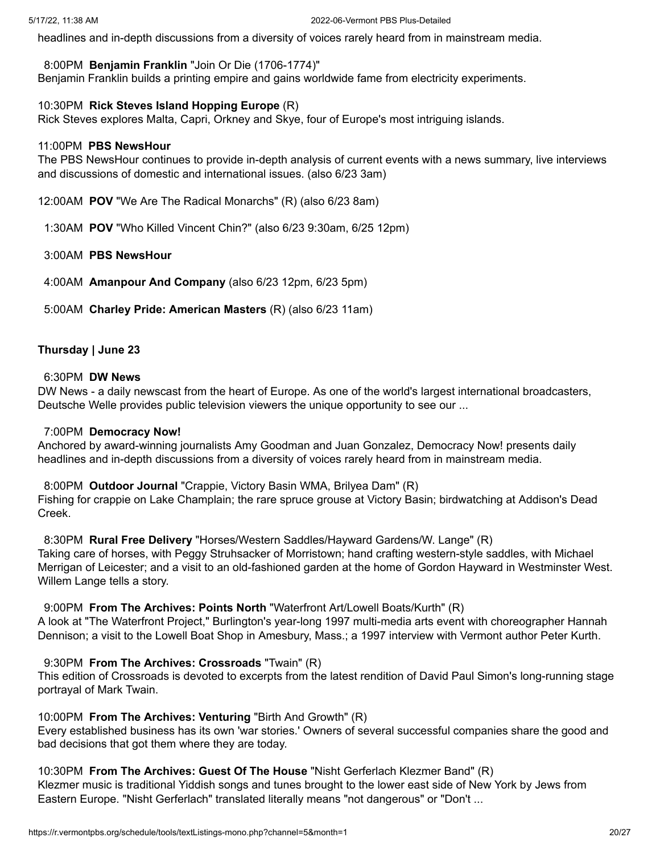headlines and in-depth discussions from a diversity of voices rarely heard from in mainstream media.

### 8:00PM **Benjamin Franklin** "Join Or Die (1706-1774)"

Benjamin Franklin builds a printing empire and gains worldwide fame from electricity experiments.

### 10:30PM **Rick Steves Island Hopping Europe** (R)

Rick Steves explores Malta, Capri, Orkney and Skye, four of Europe's most intriguing islands.

#### 11:00PM **PBS NewsHour**

The PBS NewsHour continues to provide in-depth analysis of current events with a news summary, live interviews and discussions of domestic and international issues. (also 6/23 3am)

12:00AM **POV** "We Are The Radical Monarchs" (R) (also 6/23 8am)

1:30AM **POV** "Who Killed Vincent Chin?" (also 6/23 9:30am, 6/25 12pm)

## 3:00AM **PBS NewsHour**

4:00AM **Amanpour And Company** (also 6/23 12pm, 6/23 5pm)

5:00AM **Charley Pride: American Masters** (R) (also 6/23 11am)

### **Thursday | June 23**

#### 6:30PM **DW News**

DW News - a daily newscast from the heart of Europe. As one of the world's largest international broadcasters, Deutsche Welle provides public television viewers the unique opportunity to see our ...

#### 7:00PM **Democracy Now!**

Anchored by award-winning journalists Amy Goodman and Juan Gonzalez, Democracy Now! presents daily headlines and in-depth discussions from a diversity of voices rarely heard from in mainstream media.

### 8:00PM **Outdoor Journal** "Crappie, Victory Basin WMA, Brilyea Dam" (R)

Fishing for crappie on Lake Champlain; the rare spruce grouse at Victory Basin; birdwatching at Addison's Dead Creek.

8:30PM **Rural Free Delivery** "Horses/Western Saddles/Hayward Gardens/W. Lange" (R)

Taking care of horses, with Peggy Struhsacker of Morristown; hand crafting western-style saddles, with Michael Merrigan of Leicester; and a visit to an old-fashioned garden at the home of Gordon Hayward in Westminster West. Willem Lange tells a story.

### 9:00PM **From The Archives: Points North** "Waterfront Art/Lowell Boats/Kurth" (R)

A look at "The Waterfront Project," Burlington's year-long 1997 multi-media arts event with choreographer Hannah Dennison; a visit to the Lowell Boat Shop in Amesbury, Mass.; a 1997 interview with Vermont author Peter Kurth.

## 9:30PM **From The Archives: Crossroads** "Twain" (R)

This edition of Crossroads is devoted to excerpts from the latest rendition of David Paul Simon's long-running stage portrayal of Mark Twain.

## 10:00PM **From The Archives: Venturing** "Birth And Growth" (R)

Every established business has its own 'war stories.' Owners of several successful companies share the good and bad decisions that got them where they are today.

## 10:30PM **From The Archives: Guest Of The House** "Nisht Gerferlach Klezmer Band" (R)

Klezmer music is traditional Yiddish songs and tunes brought to the lower east side of New York by Jews from Eastern Europe. "Nisht Gerferlach" translated literally means "not dangerous" or "Don't ...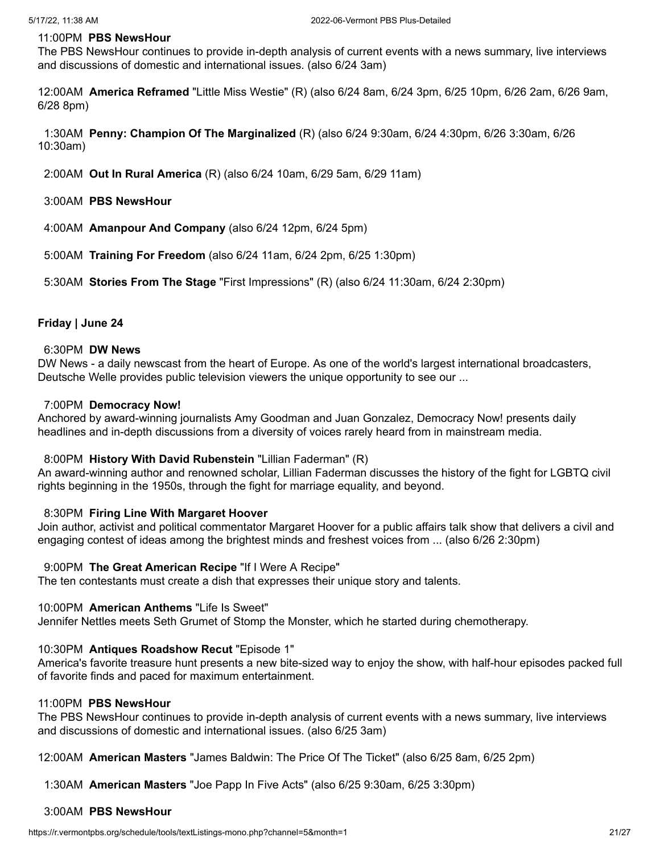#### 11:00PM **PBS NewsHour**

The PBS NewsHour continues to provide in-depth analysis of current events with a news summary, live interviews and discussions of domestic and international issues. (also 6/24 3am)

12:00AM **America Reframed** "Little Miss Westie" (R) (also 6/24 8am, 6/24 3pm, 6/25 10pm, 6/26 2am, 6/26 9am, 6/28 8pm)

1:30AM **Penny: Champion Of The Marginalized** (R) (also 6/24 9:30am, 6/24 4:30pm, 6/26 3:30am, 6/26 10:30am)

2:00AM **Out In Rural America** (R) (also 6/24 10am, 6/29 5am, 6/29 11am)

- 3:00AM **PBS NewsHour**
- 4:00AM **Amanpour And Company** (also 6/24 12pm, 6/24 5pm)
- 5:00AM **Training For Freedom** (also 6/24 11am, 6/24 2pm, 6/25 1:30pm)

5:30AM **Stories From The Stage** "First Impressions" (R) (also 6/24 11:30am, 6/24 2:30pm)

## **Friday | June 24**

#### 6:30PM **DW News**

DW News - a daily newscast from the heart of Europe. As one of the world's largest international broadcasters, Deutsche Welle provides public television viewers the unique opportunity to see our ...

#### 7:00PM **Democracy Now!**

Anchored by award-winning journalists Amy Goodman and Juan Gonzalez, Democracy Now! presents daily headlines and in-depth discussions from a diversity of voices rarely heard from in mainstream media.

#### 8:00PM **History With David Rubenstein** "Lillian Faderman" (R)

An award-winning author and renowned scholar, Lillian Faderman discusses the history of the fight for LGBTQ civil rights beginning in the 1950s, through the fight for marriage equality, and beyond.

#### 8:30PM **Firing Line With Margaret Hoover**

Join author, activist and political commentator Margaret Hoover for a public affairs talk show that delivers a civil and engaging contest of ideas among the brightest minds and freshest voices from ... (also 6/26 2:30pm)

#### 9:00PM **The Great American Recipe** "If I Were A Recipe"

The ten contestants must create a dish that expresses their unique story and talents.

#### 10:00PM **American Anthems** "Life Is Sweet"

Jennifer Nettles meets Seth Grumet of Stomp the Monster, which he started during chemotherapy.

#### 10:30PM **Antiques Roadshow Recut** "Episode 1"

America's favorite treasure hunt presents a new bite-sized way to enjoy the show, with half-hour episodes packed full of favorite finds and paced for maximum entertainment.

#### 11:00PM **PBS NewsHour**

The PBS NewsHour continues to provide in-depth analysis of current events with a news summary, live interviews and discussions of domestic and international issues. (also 6/25 3am)

12:00AM **American Masters** "James Baldwin: The Price Of The Ticket" (also 6/25 8am, 6/25 2pm)

1:30AM **American Masters** "Joe Papp In Five Acts" (also 6/25 9:30am, 6/25 3:30pm)

## 3:00AM **PBS NewsHour**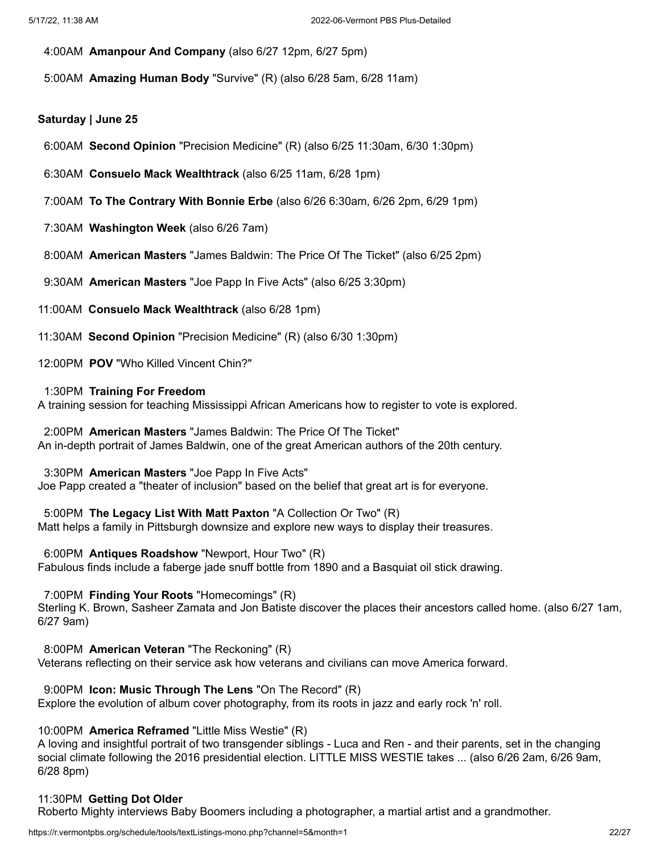- 4:00AM **Amanpour And Company** (also 6/27 12pm, 6/27 5pm)
- 5:00AM **Amazing Human Body** "Survive" (R) (also 6/28 5am, 6/28 11am)

#### **Saturday | June 25**

- 6:00AM **Second Opinion** "Precision Medicine" (R) (also 6/25 11:30am, 6/30 1:30pm)
- 6:30AM **Consuelo Mack Wealthtrack** (also 6/25 11am, 6/28 1pm)
- 7:00AM **To The Contrary With Bonnie Erbe** (also 6/26 6:30am, 6/26 2pm, 6/29 1pm)
- 7:30AM **Washington Week** (also 6/26 7am)
- 8:00AM **American Masters** "James Baldwin: The Price Of The Ticket" (also 6/25 2pm)
- 9:30AM **American Masters** "Joe Papp In Five Acts" (also 6/25 3:30pm)
- 11:00AM **Consuelo Mack Wealthtrack** (also 6/28 1pm)
- 11:30AM **Second Opinion** "Precision Medicine" (R) (also 6/30 1:30pm)
- 12:00PM **POV** "Who Killed Vincent Chin?"

#### 1:30PM **Training For Freedom**

A training session for teaching Mississippi African Americans how to register to vote is explored.

2:00PM **American Masters** "James Baldwin: The Price Of The Ticket" An in-depth portrait of James Baldwin, one of the great American authors of the 20th century.

#### 3:30PM **American Masters** "Joe Papp In Five Acts"

Joe Papp created a "theater of inclusion" based on the belief that great art is for everyone.

5:00PM **The Legacy List With Matt Paxton** "A Collection Or Two" (R) Matt helps a family in Pittsburgh downsize and explore new ways to display their treasures.

#### 6:00PM **Antiques Roadshow** "Newport, Hour Two" (R)

Fabulous finds include a faberge jade snuff bottle from 1890 and a Basquiat oil stick drawing.

#### 7:00PM **Finding Your Roots** "Homecomings" (R)

Sterling K. Brown, Sasheer Zamata and Jon Batiste discover the places their ancestors called home. (also 6/27 1am, 6/27 9am)

8:00PM **American Veteran** "The Reckoning" (R)

Veterans reflecting on their service ask how veterans and civilians can move America forward.

### 9:00PM **Icon: Music Through The Lens** "On The Record" (R)

Explore the evolution of album cover photography, from its roots in jazz and early rock 'n' roll.

## 10:00PM **America Reframed** "Little Miss Westie" (R)

A loving and insightful portrait of two transgender siblings - Luca and Ren - and their parents, set in the changing social climate following the 2016 presidential election. LITTLE MISS WESTIE takes ... (also 6/26 2am, 6/26 9am, 6/28 8pm)

### 11:30PM **Getting Dot Older**

Roberto Mighty interviews Baby Boomers including a photographer, a martial artist and a grandmother.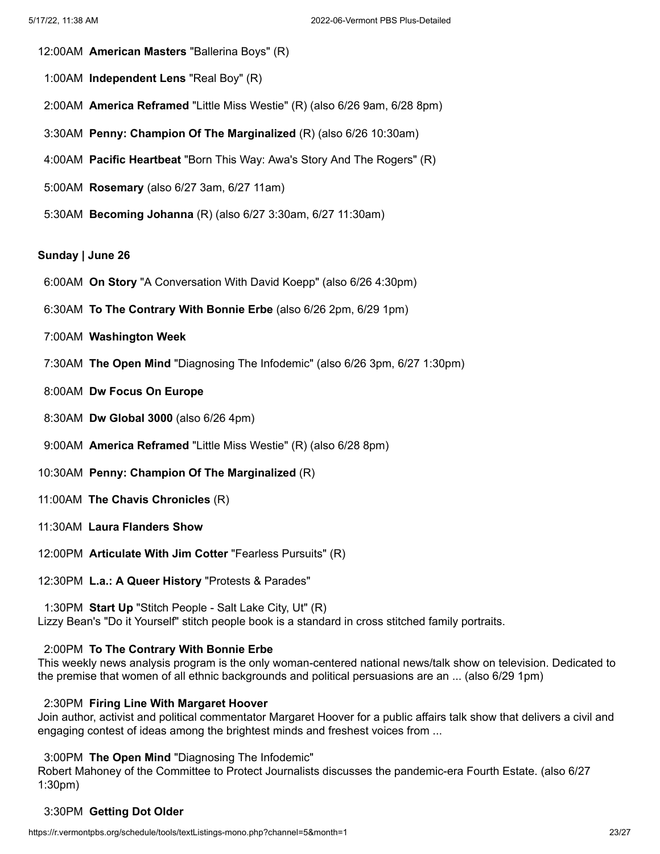- 12:00AM **American Masters** "Ballerina Boys" (R)
- 1:00AM **Independent Lens** "Real Boy" (R)
- 2:00AM **America Reframed** "Little Miss Westie" (R) (also 6/26 9am, 6/28 8pm)
- 3:30AM **Penny: Champion Of The Marginalized** (R) (also 6/26 10:30am)
- 4:00AM **Pacific Heartbeat** "Born This Way: Awa's Story And The Rogers" (R)
- 5:00AM **Rosemary** (also 6/27 3am, 6/27 11am)
- 5:30AM **Becoming Johanna** (R) (also 6/27 3:30am, 6/27 11:30am)

#### **Sunday | June 26**

- 6:00AM **On Story** "A Conversation With David Koepp" (also 6/26 4:30pm)
- 6:30AM **To The Contrary With Bonnie Erbe** (also 6/26 2pm, 6/29 1pm)
- 7:00AM **Washington Week**
- 7:30AM **The Open Mind** "Diagnosing The Infodemic" (also 6/26 3pm, 6/27 1:30pm)
- 8:00AM **Dw Focus On Europe**
- 8:30AM **Dw Global 3000** (also 6/26 4pm)
- 9:00AM **America Reframed** "Little Miss Westie" (R) (also 6/28 8pm)
- 10:30AM **Penny: Champion Of The Marginalized** (R)
- 11:00AM **The Chavis Chronicles** (R)
- 11:30AM **Laura Flanders Show**
- 12:00PM **Articulate With Jim Cotter** "Fearless Pursuits" (R)

12:30PM **L.a.: A Queer History** "Protests & Parades"

1:30PM **Start Up** "Stitch People - Salt Lake City, Ut" (R) Lizzy Bean's "Do it Yourself" stitch people book is a standard in cross stitched family portraits.

## 2:00PM **To The Contrary With Bonnie Erbe**

This weekly news analysis program is the only woman-centered national news/talk show on television. Dedicated to the premise that women of all ethnic backgrounds and political persuasions are an ... (also 6/29 1pm)

### 2:30PM **Firing Line With Margaret Hoover**

Join author, activist and political commentator Margaret Hoover for a public affairs talk show that delivers a civil and engaging contest of ideas among the brightest minds and freshest voices from ...

#### 3:00PM **The Open Mind** "Diagnosing The Infodemic"

Robert Mahoney of the Committee to Protect Journalists discusses the pandemic-era Fourth Estate. (also 6/27 1:30pm)

# 3:30PM **Getting Dot Older**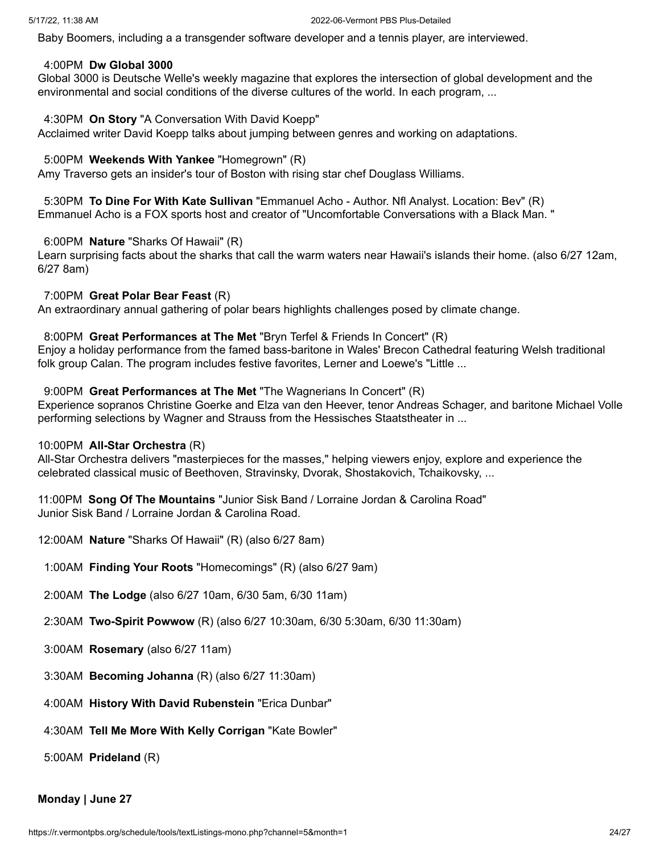Baby Boomers, including a a transgender software developer and a tennis player, are interviewed.

#### 4:00PM **Dw Global 3000**

Global 3000 is Deutsche Welle's weekly magazine that explores the intersection of global development and the environmental and social conditions of the diverse cultures of the world. In each program, ...

## 4:30PM **On Story** "A Conversation With David Koepp"

Acclaimed writer David Koepp talks about jumping between genres and working on adaptations.

# 5:00PM **Weekends With Yankee** "Homegrown" (R)

Amy Traverso gets an insider's tour of Boston with rising star chef Douglass Williams.

5:30PM **To Dine For With Kate Sullivan** "Emmanuel Acho - Author. Nfl Analyst. Location: Bev" (R) Emmanuel Acho is a FOX sports host and creator of "Uncomfortable Conversations with a Black Man. "

# 6:00PM **Nature** "Sharks Of Hawaii" (R)

Learn surprising facts about the sharks that call the warm waters near Hawaii's islands their home. (also 6/27 12am, 6/27 8am)

# 7:00PM **Great Polar Bear Feast** (R)

An extraordinary annual gathering of polar bears highlights challenges posed by climate change.

# 8:00PM **Great Performances at The Met** "Bryn Terfel & Friends In Concert" (R)

Enjoy a holiday performance from the famed bass-baritone in Wales' Brecon Cathedral featuring Welsh traditional folk group Calan. The program includes festive favorites, Lerner and Loewe's "Little ...

# 9:00PM **Great Performances at The Met** "The Wagnerians In Concert" (R)

Experience sopranos Christine Goerke and Elza van den Heever, tenor Andreas Schager, and baritone Michael Volle performing selections by Wagner and Strauss from the Hessisches Staatstheater in ...

### 10:00PM **All-Star Orchestra** (R)

All-Star Orchestra delivers "masterpieces for the masses," helping viewers enjoy, explore and experience the celebrated classical music of Beethoven, Stravinsky, Dvorak, Shostakovich, Tchaikovsky, ...

11:00PM **Song Of The Mountains** "Junior Sisk Band / Lorraine Jordan & Carolina Road" Junior Sisk Band / Lorraine Jordan & Carolina Road.

- 12:00AM **Nature** "Sharks Of Hawaii" (R) (also 6/27 8am)
- 1:00AM **Finding Your Roots** "Homecomings" (R) (also 6/27 9am)
- 2:00AM **The Lodge** (also 6/27 10am, 6/30 5am, 6/30 11am)
- 2:30AM **Two-Spirit Powwow** (R) (also 6/27 10:30am, 6/30 5:30am, 6/30 11:30am)
- 3:00AM **Rosemary** (also 6/27 11am)
- 3:30AM **Becoming Johanna** (R) (also 6/27 11:30am)
- 4:00AM **History With David Rubenstein** "Erica Dunbar"
- 4:30AM **Tell Me More With Kelly Corrigan** "Kate Bowler"

5:00AM **Prideland** (R)

# **Monday | June 27**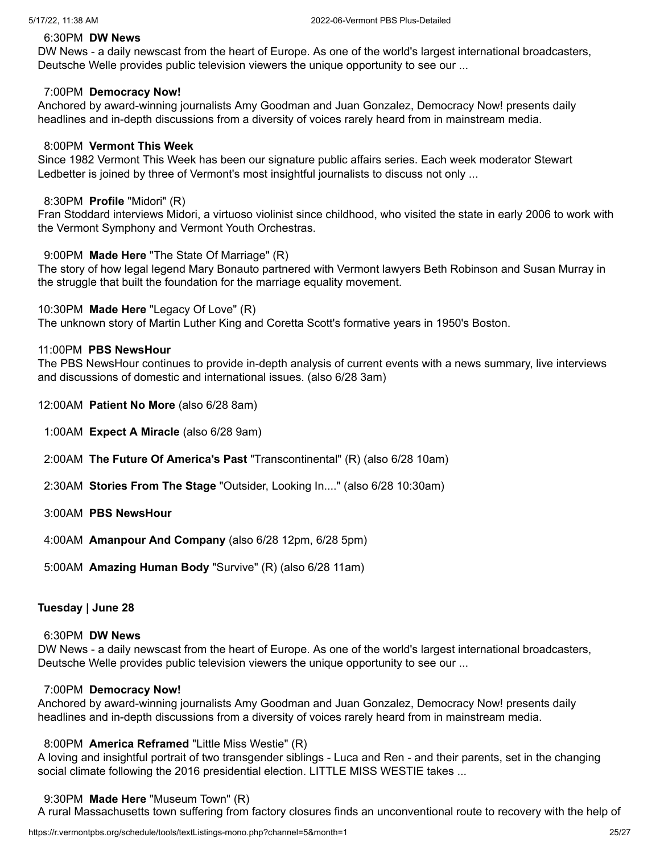#### 6:30PM **DW News**

DW News - a daily newscast from the heart of Europe. As one of the world's largest international broadcasters, Deutsche Welle provides public television viewers the unique opportunity to see our ...

#### 7:00PM **Democracy Now!**

Anchored by award-winning journalists Amy Goodman and Juan Gonzalez, Democracy Now! presents daily headlines and in-depth discussions from a diversity of voices rarely heard from in mainstream media.

#### 8:00PM **Vermont This Week**

Since 1982 Vermont This Week has been our signature public affairs series. Each week moderator Stewart Ledbetter is joined by three of Vermont's most insightful journalists to discuss not only ...

#### 8:30PM **Profile** "Midori" (R)

Fran Stoddard interviews Midori, a virtuoso violinist since childhood, who visited the state in early 2006 to work with the Vermont Symphony and Vermont Youth Orchestras.

#### 9:00PM **Made Here** "The State Of Marriage" (R)

The story of how legal legend Mary Bonauto partnered with Vermont lawyers Beth Robinson and Susan Murray in the struggle that built the foundation for the marriage equality movement.

#### 10:30PM **Made Here** "Legacy Of Love" (R)

The unknown story of Martin Luther King and Coretta Scott's formative years in 1950's Boston.

#### 11:00PM **PBS NewsHour**

The PBS NewsHour continues to provide in-depth analysis of current events with a news summary, live interviews and discussions of domestic and international issues. (also 6/28 3am)

- 12:00AM **Patient No More** (also 6/28 8am)
- 1:00AM **Expect A Miracle** (also 6/28 9am)
- 2:00AM **The Future Of America's Past** "Transcontinental" (R) (also 6/28 10am)
- 2:30AM **Stories From The Stage** "Outsider, Looking In...." (also 6/28 10:30am)
- 3:00AM **PBS NewsHour**
- 4:00AM **Amanpour And Company** (also 6/28 12pm, 6/28 5pm)
- 5:00AM **Amazing Human Body** "Survive" (R) (also 6/28 11am)

### **Tuesday | June 28**

# 6:30PM **DW News**

DW News - a daily newscast from the heart of Europe. As one of the world's largest international broadcasters, Deutsche Welle provides public television viewers the unique opportunity to see our ...

#### 7:00PM **Democracy Now!**

Anchored by award-winning journalists Amy Goodman and Juan Gonzalez, Democracy Now! presents daily headlines and in-depth discussions from a diversity of voices rarely heard from in mainstream media.

## 8:00PM **America Reframed** "Little Miss Westie" (R)

A loving and insightful portrait of two transgender siblings - Luca and Ren - and their parents, set in the changing social climate following the 2016 presidential election. LITTLE MISS WESTIE takes ...

#### 9:30PM **Made Here** "Museum Town" (R)

A rural Massachusetts town suffering from factory closures finds an unconventional route to recovery with the help of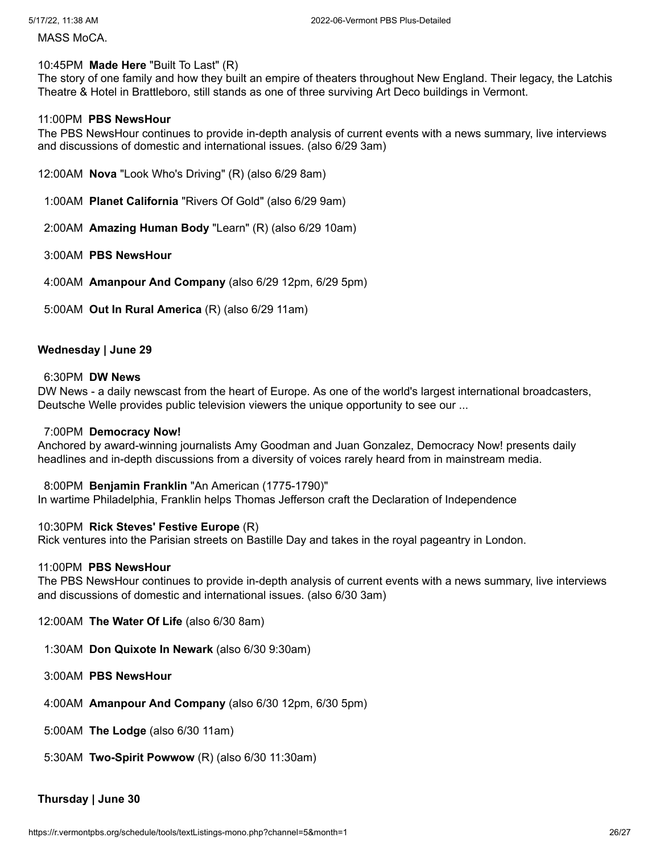MASS MoCA.

## 10:45PM **Made Here** "Built To Last" (R)

The story of one family and how they built an empire of theaters throughout New England. Their legacy, the Latchis Theatre & Hotel in Brattleboro, still stands as one of three surviving Art Deco buildings in Vermont.

### 11:00PM **PBS NewsHour**

The PBS NewsHour continues to provide in-depth analysis of current events with a news summary, live interviews and discussions of domestic and international issues. (also 6/29 3am)

- 12:00AM **Nova** "Look Who's Driving" (R) (also 6/29 8am)
- 1:00AM **Planet California** "Rivers Of Gold" (also 6/29 9am)
- 2:00AM **Amazing Human Body** "Learn" (R) (also 6/29 10am)
- 3:00AM **PBS NewsHour**
- 4:00AM **Amanpour And Company** (also 6/29 12pm, 6/29 5pm)
- 5:00AM **Out In Rural America** (R) (also 6/29 11am)

### **Wednesday | June 29**

#### 6:30PM **DW News**

DW News - a daily newscast from the heart of Europe. As one of the world's largest international broadcasters, Deutsche Welle provides public television viewers the unique opportunity to see our ...

#### 7:00PM **Democracy Now!**

Anchored by award-winning journalists Amy Goodman and Juan Gonzalez, Democracy Now! presents daily headlines and in-depth discussions from a diversity of voices rarely heard from in mainstream media.

### 8:00PM **Benjamin Franklin** "An American (1775-1790)"

In wartime Philadelphia, Franklin helps Thomas Jefferson craft the Declaration of Independence

### 10:30PM **Rick Steves' Festive Europe** (R)

Rick ventures into the Parisian streets on Bastille Day and takes in the royal pageantry in London.

#### 11:00PM **PBS NewsHour**

The PBS NewsHour continues to provide in-depth analysis of current events with a news summary, live interviews and discussions of domestic and international issues. (also 6/30 3am)

12:00AM **The Water Of Life** (also 6/30 8am)

1:30AM **Don Quixote In Newark** (also 6/30 9:30am)

3:00AM **PBS NewsHour**

4:00AM **Amanpour And Company** (also 6/30 12pm, 6/30 5pm)

5:00AM **The Lodge** (also 6/30 11am)

5:30AM **Two-Spirit Powwow** (R) (also 6/30 11:30am)

## **Thursday | June 30**